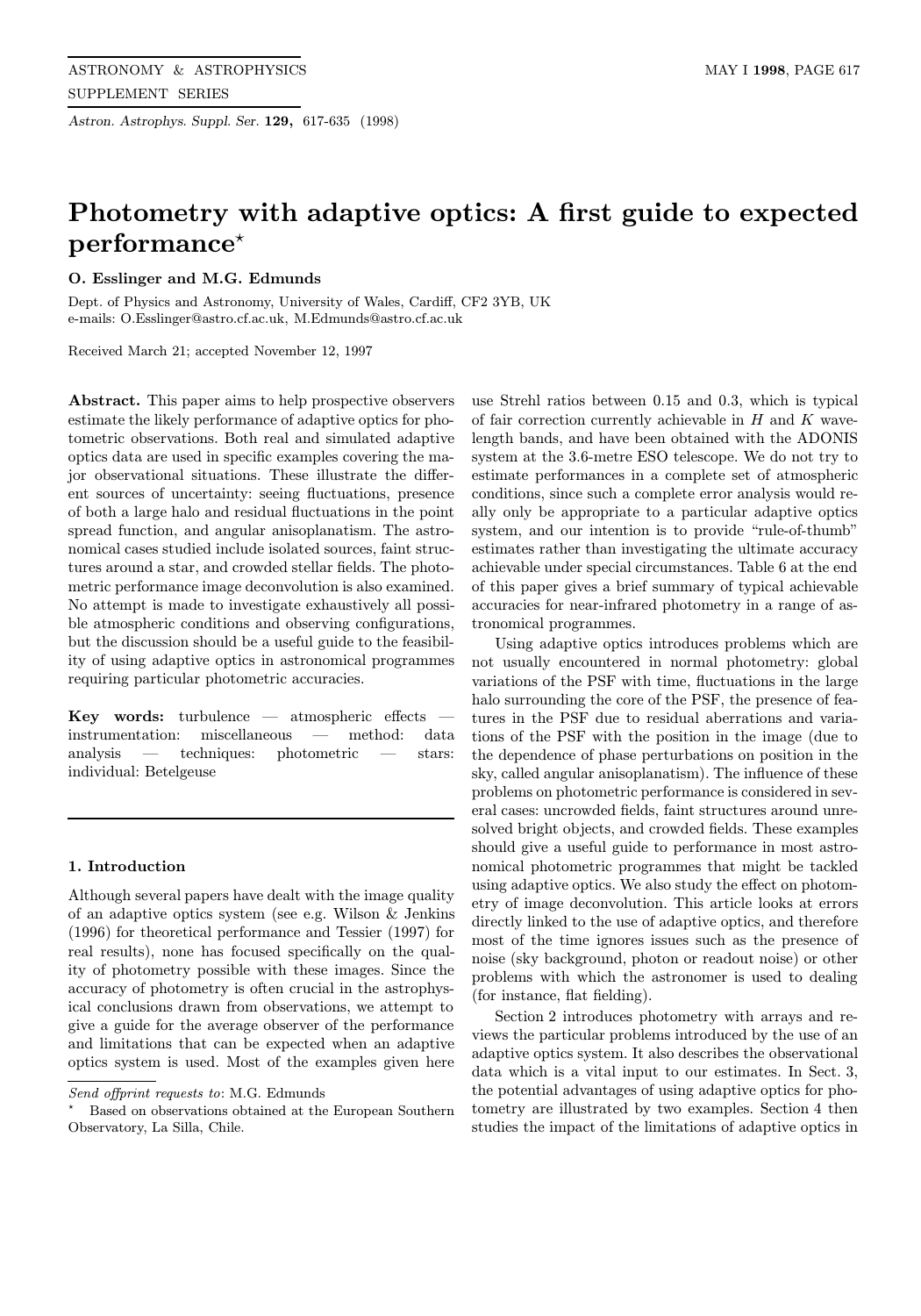Astron. Astrophys. Suppl. Ser. 129, 617-635 (1998)

# Photometry with adaptive optics: A first guide to expected  $performed*$

# O. Esslinger and M.G. Edmunds

Dept. of Physics and Astronomy, University of Wales, Cardiff, CF2 3YB, UK e-mails: O.Esslinger@astro.cf.ac.uk, M.Edmunds@astro.cf.ac.uk

Received March 21; accepted November 12, 1997

Abstract. This paper aims to help prospective observers estimate the likely performance of adaptive optics for photometric observations. Both real and simulated adaptive optics data are used in specific examples covering the major observational situations. These illustrate the different sources of uncertainty: seeing fluctuations, presence of both a large halo and residual fluctuations in the point spread function, and angular anisoplanatism. The astronomical cases studied include isolated sources, faint structures around a star, and crowded stellar fields. The photometric performance image deconvolution is also examined. No attempt is made to investigate exhaustively all possible atmospheric conditions and observing configurations, but the discussion should be a useful guide to the feasibility of using adaptive optics in astronomical programmes requiring particular photometric accuracies.

 $Key$  words: turbulence — atmospheric effects instrumentation: miscellaneous — method: data analysis — techniques: photometric — stars: individual: Betelgeuse

#### 1. Introduction

Although several papers have dealt with the image quality of an adaptive optics system (see e.g. Wilson & Jenkins (1996) for theoretical performance and Tessier (1997) for real results), none has focused specifically on the quality of photometry possible with these images. Since the accuracy of photometry is often crucial in the astrophysical conclusions drawn from observations, we attempt to give a guide for the average observer of the performance and limitations that can be expected when an adaptive optics system is used. Most of the examples given here

use Strehl ratios between 0.15 and 0.3, which is typical of fair correction currently achievable in  $H$  and  $K$  wavelength bands, and have been obtained with the ADONIS system at the 3.6-metre ESO telescope. We do not try to estimate performances in a complete set of atmospheric conditions, since such a complete error analysis would really only be appropriate to a particular adaptive optics system, and our intention is to provide "rule-of-thumb" estimates rather than investigating the ultimate accuracy achievable under special circumstances. Table 6 at the end of this paper gives a brief summary of typical achievable accuracies for near-infrared photometry in a range of astronomical programmes.

Using adaptive optics introduces problems which are not usually encountered in normal photometry: global variations of the PSF with time, fluctuations in the large halo surrounding the core of the PSF, the presence of features in the PSF due to residual aberrations and variations of the PSF with the position in the image (due to the dependence of phase perturbations on position in the sky, called angular anisoplanatism). The influence of these problems on photometric performance is considered in several cases: uncrowded fields, faint structures around unresolved bright objects, and crowded fields. These examples should give a useful guide to performance in most astronomical photometric programmes that might be tackled using adaptive optics. We also study the effect on photometry of image deconvolution. This article looks at errors directly linked to the use of adaptive optics, and therefore most of the time ignores issues such as the presence of noise (sky background, photon or readout noise) or other problems with which the astronomer is used to dealing (for instance, flat fielding).

Section 2 introduces photometry with arrays and reviews the particular problems introduced by the use of an adaptive optics system. It also describes the observational data which is a vital input to our estimates. In Sect. 3, the potential advantages of using adaptive optics for photometry are illustrated by two examples. Section 4 then studies the impact of the limitations of adaptive optics in

Send offprint requests to: M.G. Edmunds

<sup>?</sup> Based on observations obtained at the European Southern Observatory, La Silla, Chile.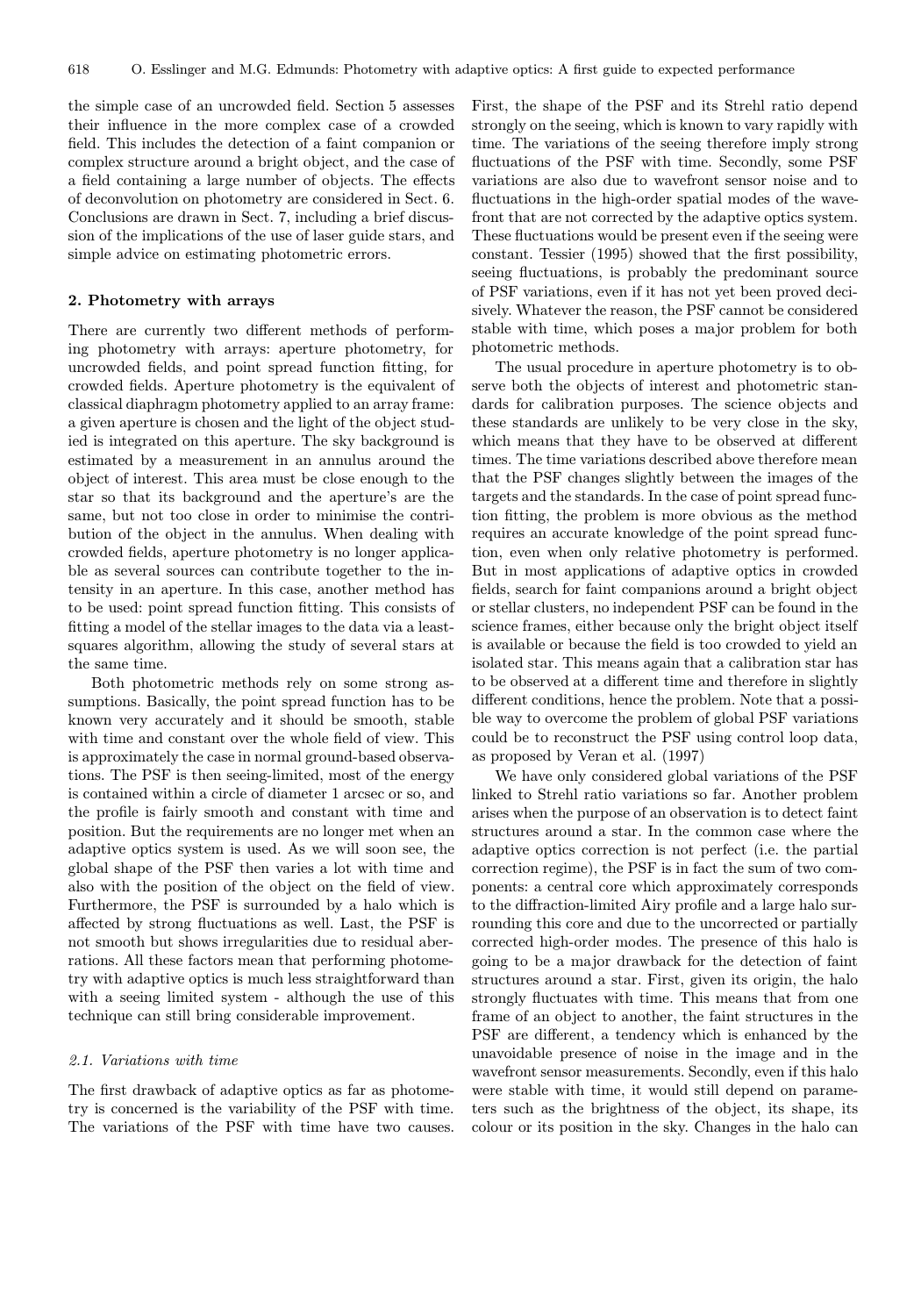the simple case of an uncrowded field. Section 5 assesses their influence in the more complex case of a crowded field. This includes the detection of a faint companion or complex structure around a bright object, and the case of a field containing a large number of objects. The effects of deconvolution on photometry are considered in Sect. 6. Conclusions are drawn in Sect. 7, including a brief discussion of the implications of the use of laser guide stars, and simple advice on estimating photometric errors.

### 2. Photometry with arrays

There are currently two different methods of performing photometry with arrays: aperture photometry, for uncrowded fields, and point spread function fitting, for crowded fields. Aperture photometry is the equivalent of classical diaphragm photometry applied to an array frame: a given aperture is chosen and the light of the object studied is integrated on this aperture. The sky background is estimated by a measurement in an annulus around the object of interest. This area must be close enough to the star so that its background and the aperture's are the same, but not too close in order to minimise the contribution of the object in the annulus. When dealing with crowded fields, aperture photometry is no longer applicable as several sources can contribute together to the intensity in an aperture. In this case, another method has to be used: point spread function fitting. This consists of fitting a model of the stellar images to the data via a leastsquares algorithm, allowing the study of several stars at the same time.

Both photometric methods rely on some strong assumptions. Basically, the point spread function has to be known very accurately and it should be smooth, stable with time and constant over the whole field of view. This is approximately the case in normal ground-based observations. The PSF is then seeing-limited, most of the energy is contained within a circle of diameter 1 arcsec or so, and the profile is fairly smooth and constant with time and position. But the requirements are no longer met when an adaptive optics system is used. As we will soon see, the global shape of the PSF then varies a lot with time and also with the position of the object on the field of view. Furthermore, the PSF is surrounded by a halo which is affected by strong fluctuations as well. Last, the PSF is not smooth but shows irregularities due to residual aberrations. All these factors mean that performing photometry with adaptive optics is much less straightforward than with a seeing limited system - although the use of this technique can still bring considerable improvement.

#### 2.1. Variations with time

The first drawback of adaptive optics as far as photometry is concerned is the variability of the PSF with time. The variations of the PSF with time have two causes. First, the shape of the PSF and its Strehl ratio depend strongly on the seeing, which is known to vary rapidly with time. The variations of the seeing therefore imply strong fluctuations of the PSF with time. Secondly, some PSF variations are also due to wavefront sensor noise and to fluctuations in the high-order spatial modes of the wavefront that are not corrected by the adaptive optics system. These fluctuations would be present even if the seeing were constant. Tessier (1995) showed that the first possibility, seeing fluctuations, is probably the predominant source of PSF variations, even if it has not yet been proved decisively. Whatever the reason, the PSF cannot be considered stable with time, which poses a major problem for both photometric methods.

The usual procedure in aperture photometry is to observe both the objects of interest and photometric standards for calibration purposes. The science objects and these standards are unlikely to be very close in the sky, which means that they have to be observed at different times. The time variations described above therefore mean that the PSF changes slightly between the images of the targets and the standards. In the case of point spread function fitting, the problem is more obvious as the method requires an accurate knowledge of the point spread function, even when only relative photometry is performed. But in most applications of adaptive optics in crowded fields, search for faint companions around a bright object or stellar clusters, no independent PSF can be found in the science frames, either because only the bright object itself is available or because the field is too crowded to yield an isolated star. This means again that a calibration star has to be observed at a different time and therefore in slightly different conditions, hence the problem. Note that a possible way to overcome the problem of global PSF variations could be to reconstruct the PSF using control loop data, as proposed by Veran et al. (1997)

We have only considered global variations of the PSF linked to Strehl ratio variations so far. Another problem arises when the purpose of an observation is to detect faint structures around a star. In the common case where the adaptive optics correction is not perfect (i.e. the partial correction regime), the PSF is in fact the sum of two components: a central core which approximately corresponds to the diffraction-limited Airy profile and a large halo surrounding this core and due to the uncorrected or partially corrected high-order modes. The presence of this halo is going to be a major drawback for the detection of faint structures around a star. First, given its origin, the halo strongly fluctuates with time. This means that from one frame of an object to another, the faint structures in the PSF are different, a tendency which is enhanced by the unavoidable presence of noise in the image and in the wavefront sensor measurements. Secondly, even if this halo were stable with time, it would still depend on parameters such as the brightness of the object, its shape, its colour or its position in the sky. Changes in the halo can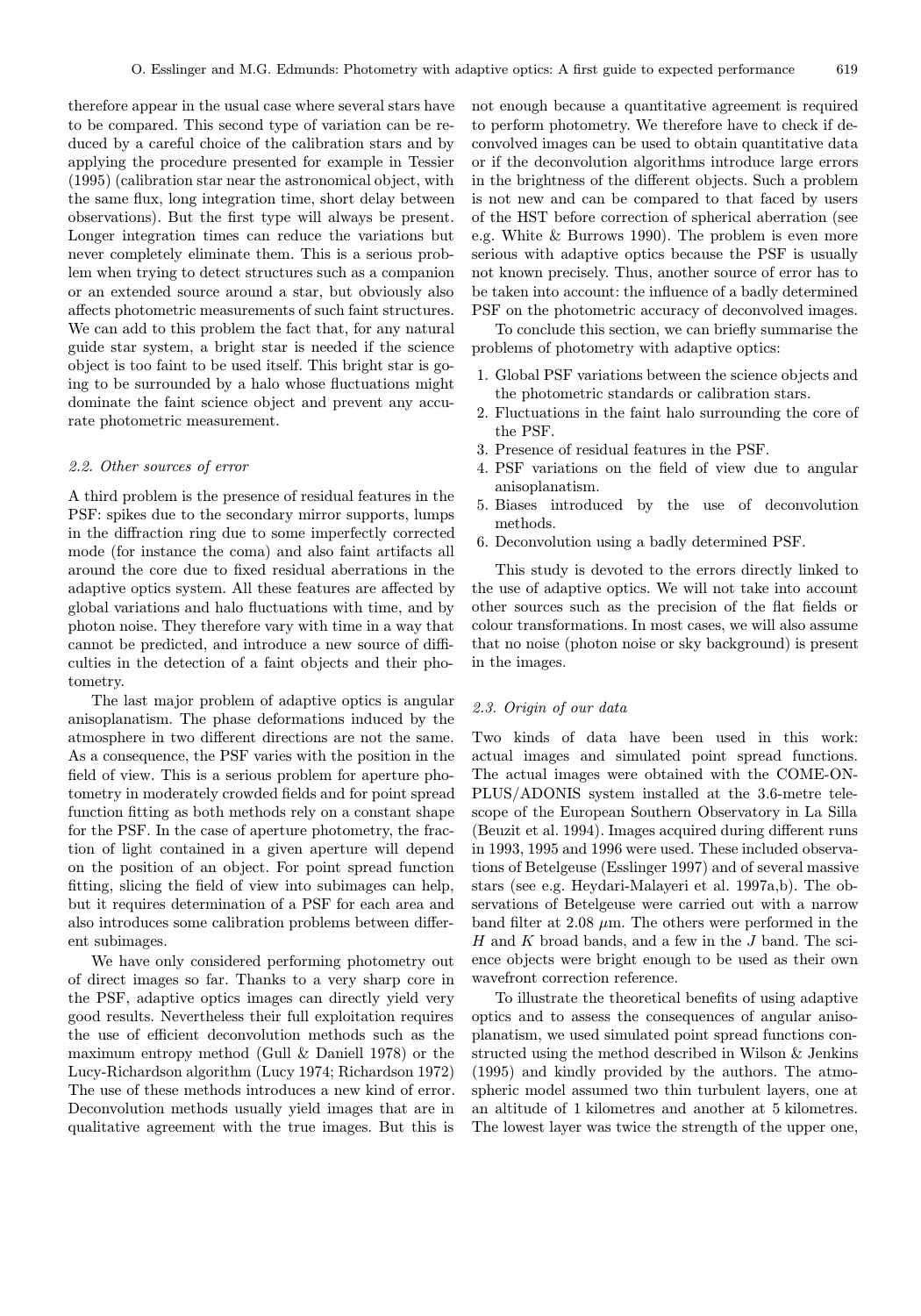therefore appear in the usual case where several stars have to be compared. This second type of variation can be reduced by a careful choice of the calibration stars and by applying the procedure presented for example in Tessier (1995) (calibration star near the astronomical object, with the same flux, long integration time, short delay between observations). But the first type will always be present. Longer integration times can reduce the variations but never completely eliminate them. This is a serious problem when trying to detect structures such as a companion or an extended source around a star, but obviously also affects photometric measurements of such faint structures. We can add to this problem the fact that, for any natural guide star system, a bright star is needed if the science object is too faint to be used itself. This bright star is going to be surrounded by a halo whose fluctuations might dominate the faint science object and prevent any accurate photometric measurement.

# 2.2. Other sources of error

A third problem is the presence of residual features in the PSF: spikes due to the secondary mirror supports, lumps in the diffraction ring due to some imperfectly corrected mode (for instance the coma) and also faint artifacts all around the core due to fixed residual aberrations in the adaptive optics system. All these features are affected by global variations and halo fluctuations with time, and by photon noise. They therefore vary with time in a way that cannot be predicted, and introduce a new source of difficulties in the detection of a faint objects and their photometry.

The last major problem of adaptive optics is angular anisoplanatism. The phase deformations induced by the atmosphere in two different directions are not the same. As a consequence, the PSF varies with the position in the field of view. This is a serious problem for aperture photometry in moderately crowded fields and for point spread function fitting as both methods rely on a constant shape for the PSF. In the case of aperture photometry, the fraction of light contained in a given aperture will depend on the position of an object. For point spread function fitting, slicing the field of view into subimages can help, but it requires determination of a PSF for each area and also introduces some calibration problems between different subimages.

We have only considered performing photometry out of direct images so far. Thanks to a very sharp core in the PSF, adaptive optics images can directly yield very good results. Nevertheless their full exploitation requires the use of efficient deconvolution methods such as the maximum entropy method (Gull & Daniell 1978) or the Lucy-Richardson algorithm (Lucy 1974; Richardson 1972) The use of these methods introduces a new kind of error. Deconvolution methods usually yield images that are in qualitative agreement with the true images. But this is

not enough because a quantitative agreement is required to perform photometry. We therefore have to check if deconvolved images can be used to obtain quantitative data or if the deconvolution algorithms introduce large errors in the brightness of the different objects. Such a problem is not new and can be compared to that faced by users of the HST before correction of spherical aberration (see e.g. White & Burrows 1990). The problem is even more serious with adaptive optics because the PSF is usually not known precisely. Thus, another source of error has to be taken into account: the influence of a badly determined PSF on the photometric accuracy of deconvolved images.

To conclude this section, we can briefly summarise the problems of photometry with adaptive optics:

- 1. Global PSF variations between the science objects and the photometric standards or calibration stars.
- 2. Fluctuations in the faint halo surrounding the core of the PSF.
- 3. Presence of residual features in the PSF.
- 4. PSF variations on the field of view due to angular anisoplanatism.
- 5. Biases introduced by the use of deconvolution methods.
- 6. Deconvolution using a badly determined PSF.

This study is devoted to the errors directly linked to the use of adaptive optics. We will not take into account other sources such as the precision of the flat fields or colour transformations. In most cases, we will also assume that no noise (photon noise or sky background) is present in the images.

# 2.3. Origin of our data

Two kinds of data have been used in this work: actual images and simulated point spread functions. The actual images were obtained with the COME-ON-PLUS/ADONIS system installed at the 3.6-metre telescope of the European Southern Observatory in La Silla (Beuzit et al. 1994). Images acquired during different runs in 1993, 1995 and 1996 were used. These included observations of Betelgeuse (Esslinger 1997) and of several massive stars (see e.g. Heydari-Malayeri et al. 1997a,b). The observations of Betelgeuse were carried out with a narrow band filter at 2.08  $\mu$ m. The others were performed in the H and K broad bands, and a few in the J band. The science objects were bright enough to be used as their own wavefront correction reference.

To illustrate the theoretical benefits of using adaptive optics and to assess the consequences of angular anisoplanatism, we used simulated point spread functions constructed using the method described in Wilson & Jenkins (1995) and kindly provided by the authors. The atmospheric model assumed two thin turbulent layers, one at an altitude of 1 kilometres and another at 5 kilometres. The lowest layer was twice the strength of the upper one,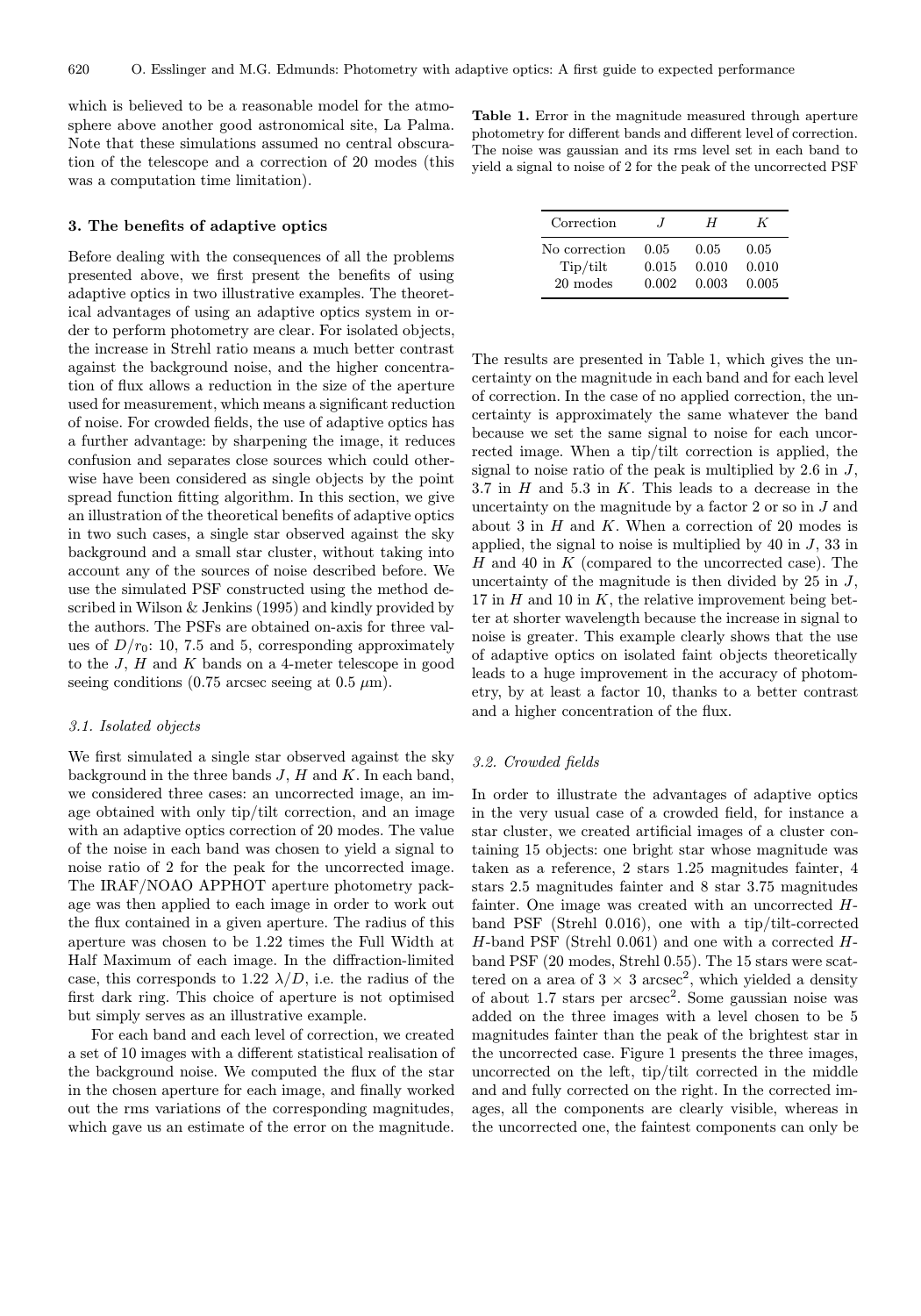which is believed to be a reasonable model for the atmosphere above another good astronomical site, La Palma. Note that these simulations assumed no central obscuration of the telescope and a correction of 20 modes (this was a computation time limitation).

## 3. The benefits of adaptive optics

Before dealing with the consequences of all the problems presented above, we first present the benefits of using adaptive optics in two illustrative examples. The theoretical advantages of using an adaptive optics system in order to perform photometry are clear. For isolated objects, the increase in Strehl ratio means a much better contrast against the background noise, and the higher concentration of flux allows a reduction in the size of the aperture used for measurement, which means a significant reduction of noise. For crowded fields, the use of adaptive optics has a further advantage: by sharpening the image, it reduces confusion and separates close sources which could otherwise have been considered as single objects by the point spread function fitting algorithm. In this section, we give an illustration of the theoretical benefits of adaptive optics in two such cases, a single star observed against the sky background and a small star cluster, without taking into account any of the sources of noise described before. We use the simulated PSF constructed using the method described in Wilson & Jenkins (1995) and kindly provided by the authors. The PSFs are obtained on-axis for three values of  $D/r_0$ : 10, 7.5 and 5, corresponding approximately to the  $J$ ,  $H$  and  $K$  bands on a 4-meter telescope in good seeing conditions (0.75 arcsec seeing at 0.5  $\mu$ m).

## 3.1. Isolated objects

We first simulated a single star observed against the sky background in the three bands  $J, H$  and  $K$ . In each band, we considered three cases: an uncorrected image, an image obtained with only tip/tilt correction, and an image with an adaptive optics correction of 20 modes. The value of the noise in each band was chosen to yield a signal to noise ratio of 2 for the peak for the uncorrected image. The IRAF/NOAO APPHOT aperture photometry package was then applied to each image in order to work out the flux contained in a given aperture. The radius of this aperture was chosen to be 1.22 times the Full Width at Half Maximum of each image. In the diffraction-limited case, this corresponds to 1.22  $\lambda/D$ , i.e. the radius of the first dark ring. This choice of aperture is not optimised but simply serves as an illustrative example.

For each band and each level of correction, we created a set of 10 images with a different statistical realisation of the background noise. We computed the flux of the star in the chosen aperture for each image, and finally worked out the rms variations of the corresponding magnitudes, which gave us an estimate of the error on the magnitude.

Table 1. Error in the magnitude measured through aperture photometry for different bands and different level of correction. The noise was gaussian and its rms level set in each band to yield a signal to noise of 2 for the peak of the uncorrected PSF

| Correction    | $\cdot$ | H     | K     |
|---------------|---------|-------|-------|
| No correction | 0.05    | 0.05  | 0.05  |
| Tip/tilt      | 0.015   | 0.010 | 0.010 |
| 20 modes      | 0.002   | 0.003 | 0.005 |

The results are presented in Table 1, which gives the uncertainty on the magnitude in each band and for each level of correction. In the case of no applied correction, the uncertainty is approximately the same whatever the band because we set the same signal to noise for each uncorrected image. When a tip/tilt correction is applied, the signal to noise ratio of the peak is multiplied by  $2.6$  in  $J$ , 3.7 in  $H$  and 5.3 in  $K$ . This leads to a decrease in the uncertainty on the magnitude by a factor 2 or so in J and about 3 in  $H$  and  $K$ . When a correction of 20 modes is applied, the signal to noise is multiplied by  $40$  in  $J$ ,  $33$  in  $H$  and 40 in  $K$  (compared to the uncorrected case). The uncertainty of the magnitude is then divided by  $25$  in  $J$ , 17 in  $H$  and 10 in  $K$ , the relative improvement being better at shorter wavelength because the increase in signal to noise is greater. This example clearly shows that the use of adaptive optics on isolated faint objects theoretically leads to a huge improvement in the accuracy of photometry, by at least a factor 10, thanks to a better contrast and a higher concentration of the flux.

#### 3.2. Crowded fields

In order to illustrate the advantages of adaptive optics in the very usual case of a crowded field, for instance a star cluster, we created artificial images of a cluster containing 15 objects: one bright star whose magnitude was taken as a reference, 2 stars 1.25 magnitudes fainter, 4 stars 2.5 magnitudes fainter and 8 star 3.75 magnitudes fainter. One image was created with an uncorrected Hband PSF (Strehl 0.016), one with a tip/tilt-corrected  $H$ -band PSF (Strehl 0.061) and one with a corrected  $H$ band PSF (20 modes, Strehl 0.55). The 15 stars were scattered on a area of  $3 \times 3$  arcsec<sup>2</sup>, which yielded a density of about  $1.7$  stars per  $\arccos\alpha^2$ . Some gaussian noise was added on the three images with a level chosen to be 5 magnitudes fainter than the peak of the brightest star in the uncorrected case. Figure 1 presents the three images, uncorrected on the left, tip/tilt corrected in the middle and and fully corrected on the right. In the corrected images, all the components are clearly visible, whereas in the uncorrected one, the faintest components can only be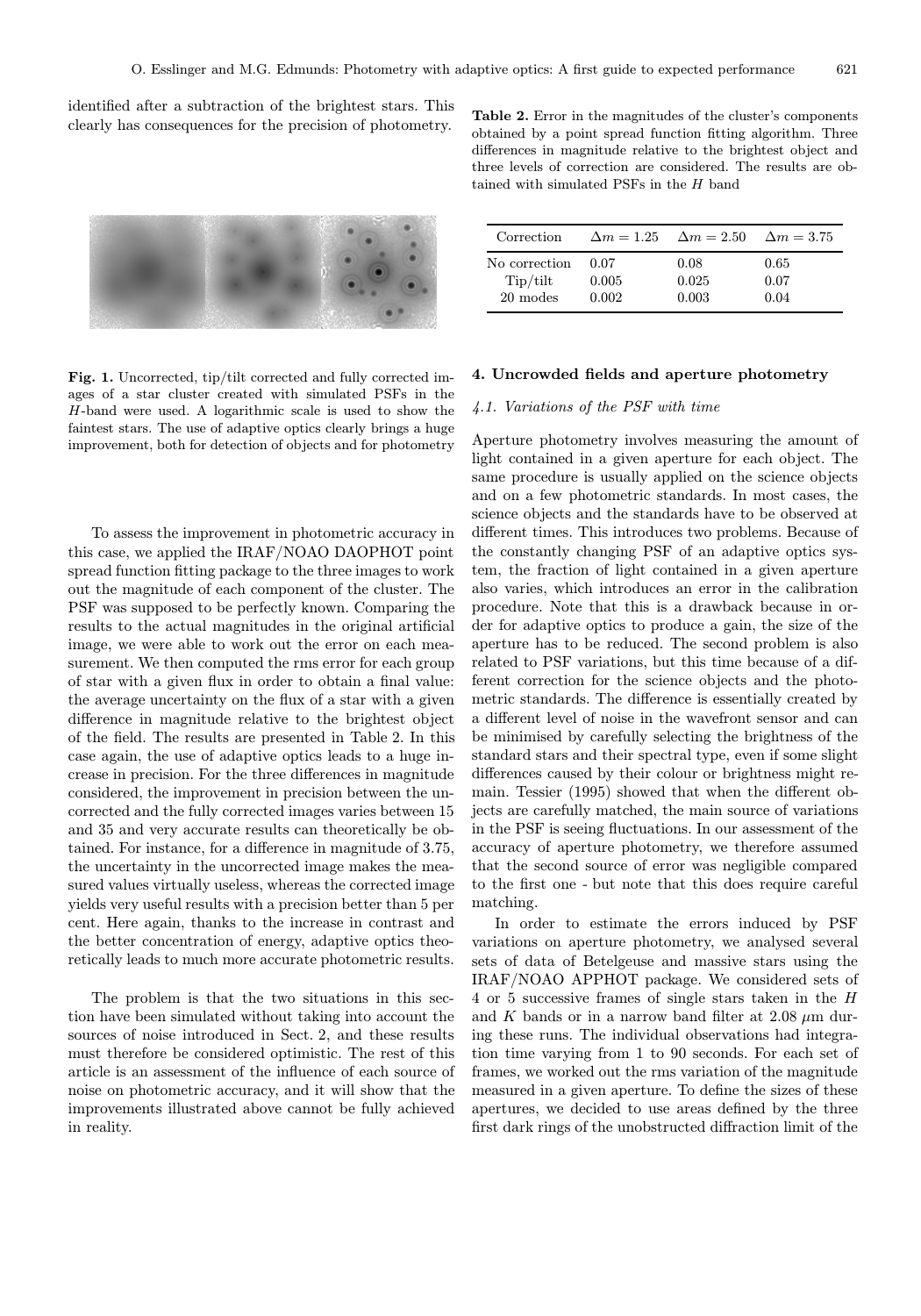identified after a subtraction of the brightest stars. This clearly has consequences for the precision of photometry.



Table 2. Error in the magnitudes of the cluster's components obtained by a point spread function fitting algorithm. Three differences in magnitude relative to the brightest object and three levels of correction are considered. The results are obtained with simulated PSFs in the  $H$  band

| Correction    |       | $\Delta m = 1.25 \quad \Delta m = 2.50$ | $\Delta m = 3.75$ |
|---------------|-------|-----------------------------------------|-------------------|
| No correction | 0.07  | 0.08                                    | 0.65              |
| Tip/tilt      | 0.005 | 0.025                                   | 0.07              |
| 20 modes      | 0.002 | 0.003                                   | 0.04              |

Fig. 1. Uncorrected, tip/tilt corrected and fully corrected images of a star cluster created with simulated PSFs in the H-band were used. A logarithmic scale is used to show the faintest stars. The use of adaptive optics clearly brings a huge improvement, both for detection of objects and for photometry

To assess the improvement in photometric accuracy in this case, we applied the IRAF/NOAO DAOPHOT point spread function fitting package to the three images to work out the magnitude of each component of the cluster. The PSF was supposed to be perfectly known. Comparing the results to the actual magnitudes in the original artificial image, we were able to work out the error on each measurement. We then computed the rms error for each group of star with a given flux in order to obtain a final value: the average uncertainty on the flux of a star with a given difference in magnitude relative to the brightest object of the field. The results are presented in Table 2. In this case again, the use of adaptive optics leads to a huge increase in precision. For the three differences in magnitude considered, the improvement in precision between the uncorrected and the fully corrected images varies between 15 and 35 and very accurate results can theoretically be obtained. For instance, for a difference in magnitude of 3.75, the uncertainty in the uncorrected image makes the measured values virtually useless, whereas the corrected image yields very useful results with a precision better than 5 per cent. Here again, thanks to the increase in contrast and the better concentration of energy, adaptive optics theoretically leads to much more accurate photometric results.

The problem is that the two situations in this section have been simulated without taking into account the sources of noise introduced in Sect. 2, and these results must therefore be considered optimistic. The rest of this article is an assessment of the influence of each source of noise on photometric accuracy, and it will show that the improvements illustrated above cannot be fully achieved in reality.

4. Uncrowded fields and aperture photometry

## 4.1. Variations of the PSF with time

Aperture photometry involves measuring the amount of light contained in a given aperture for each object. The same procedure is usually applied on the science objects and on a few photometric standards. In most cases, the science objects and the standards have to be observed at different times. This introduces two problems. Because of the constantly changing PSF of an adaptive optics system, the fraction of light contained in a given aperture also varies, which introduces an error in the calibration procedure. Note that this is a drawback because in order for adaptive optics to produce a gain, the size of the aperture has to be reduced. The second problem is also related to PSF variations, but this time because of a different correction for the science objects and the photometric standards. The difference is essentially created by a different level of noise in the wavefront sensor and can be minimised by carefully selecting the brightness of the standard stars and their spectral type, even if some slight differences caused by their colour or brightness might remain. Tessier (1995) showed that when the different objects are carefully matched, the main source of variations in the PSF is seeing fluctuations. In our assessment of the accuracy of aperture photometry, we therefore assumed that the second source of error was negligible compared to the first one - but note that this does require careful matching.

In order to estimate the errors induced by PSF variations on aperture photometry, we analysed several sets of data of Betelgeuse and massive stars using the IRAF/NOAO APPHOT package. We considered sets of 4 or 5 successive frames of single stars taken in the H and K bands or in a narrow band filter at  $2.08 \mu m$  during these runs. The individual observations had integration time varying from 1 to 90 seconds. For each set of frames, we worked out the rms variation of the magnitude measured in a given aperture. To define the sizes of these apertures, we decided to use areas defined by the three first dark rings of the unobstructed diffraction limit of the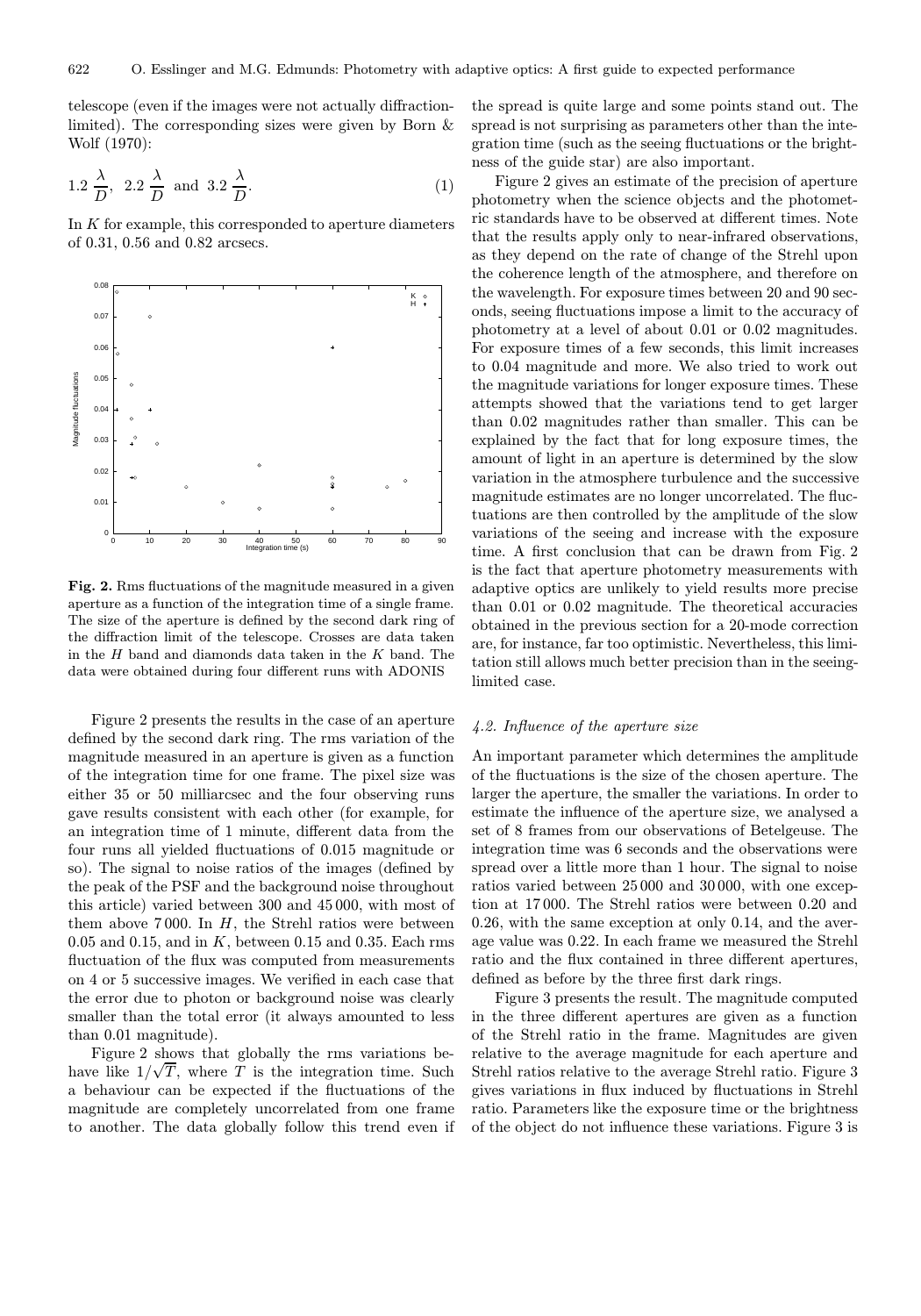telescope (even if the images were not actually diffractionlimited). The corresponding sizes were given by Born & Wolf (1970):

$$
1.2 \frac{\lambda}{D}, \quad 2.2 \frac{\lambda}{D} \quad \text{and} \quad 3.2 \frac{\lambda}{D}.
$$
 (1)

In  $K$  for example, this corresponded to aperture diameters of 0.31, 0.56 and 0.82 arcsecs.



Fig. 2. Rms fluctuations of the magnitude measured in a given aperture as a function of the integration time of a single frame. The size of the aperture is defined by the second dark ring of the diffraction limit of the telescope. Crosses are data taken in the  $H$  band and diamonds data taken in the  $K$  band. The data were obtained during four different runs with ADONIS

Figure 2 presents the results in the case of an aperture defined by the second dark ring. The rms variation of the magnitude measured in an aperture is given as a function of the integration time for one frame. The pixel size was either 35 or 50 milliarcsec and the four observing runs gave results consistent with each other (for example, for an integration time of 1 minute, different data from the four runs all yielded fluctuations of 0.015 magnitude or so). The signal to noise ratios of the images (defined by the peak of the PSF and the background noise throughout this article) varied between 300 and 45 000, with most of them above 7000. In  $H$ , the Strehl ratios were between 0.05 and 0.15, and in  $K$ , between 0.15 and 0.35. Each rms fluctuation of the flux was computed from measurements on 4 or 5 successive images. We verified in each case that the error due to photon or background noise was clearly smaller than the total error (it always amounted to less than 0.01 magnitude).

Figure 2 shows that globally the rms variations be-Figure 2 shows that globally the rms variations behave like  $1/\sqrt{T}$ , where T is the integration time. Such a behaviour can be expected if the fluctuations of the magnitude are completely uncorrelated from one frame to another. The data globally follow this trend even if

the spread is quite large and some points stand out. The spread is not surprising as parameters other than the integration time (such as the seeing fluctuations or the brightness of the guide star) are also important.

Figure 2 gives an estimate of the precision of aperture photometry when the science objects and the photometric standards have to be observed at different times. Note that the results apply only to near-infrared observations, as they depend on the rate of change of the Strehl upon the coherence length of the atmosphere, and therefore on the wavelength. For exposure times between 20 and 90 seconds, seeing fluctuations impose a limit to the accuracy of photometry at a level of about 0.01 or 0.02 magnitudes. For exposure times of a few seconds, this limit increases to 0.04 magnitude and more. We also tried to work out the magnitude variations for longer exposure times. These attempts showed that the variations tend to get larger than 0.02 magnitudes rather than smaller. This can be explained by the fact that for long exposure times, the amount of light in an aperture is determined by the slow variation in the atmosphere turbulence and the successive magnitude estimates are no longer uncorrelated. The fluctuations are then controlled by the amplitude of the slow variations of the seeing and increase with the exposure time. A first conclusion that can be drawn from Fig. 2 is the fact that aperture photometry measurements with adaptive optics are unlikely to yield results more precise than 0.01 or 0.02 magnitude. The theoretical accuracies obtained in the previous section for a 20-mode correction are, for instance, far too optimistic. Nevertheless, this limitation still allows much better precision than in the seeinglimited case.

#### 4.2. Influence of the aperture size

An important parameter which determines the amplitude of the fluctuations is the size of the chosen aperture. The larger the aperture, the smaller the variations. In order to estimate the influence of the aperture size, we analysed a set of 8 frames from our observations of Betelgeuse. The integration time was 6 seconds and the observations were spread over a little more than 1 hour. The signal to noise ratios varied between 25 000 and 30 000, with one exception at 17 000. The Strehl ratios were between 0.20 and 0.26, with the same exception at only 0.14, and the average value was 0.22. In each frame we measured the Strehl ratio and the flux contained in three different apertures, defined as before by the three first dark rings.

Figure 3 presents the result. The magnitude computed in the three different apertures are given as a function of the Strehl ratio in the frame. Magnitudes are given relative to the average magnitude for each aperture and Strehl ratios relative to the average Strehl ratio. Figure 3 gives variations in flux induced by fluctuations in Strehl ratio. Parameters like the exposure time or the brightness of the object do not influence these variations. Figure 3 is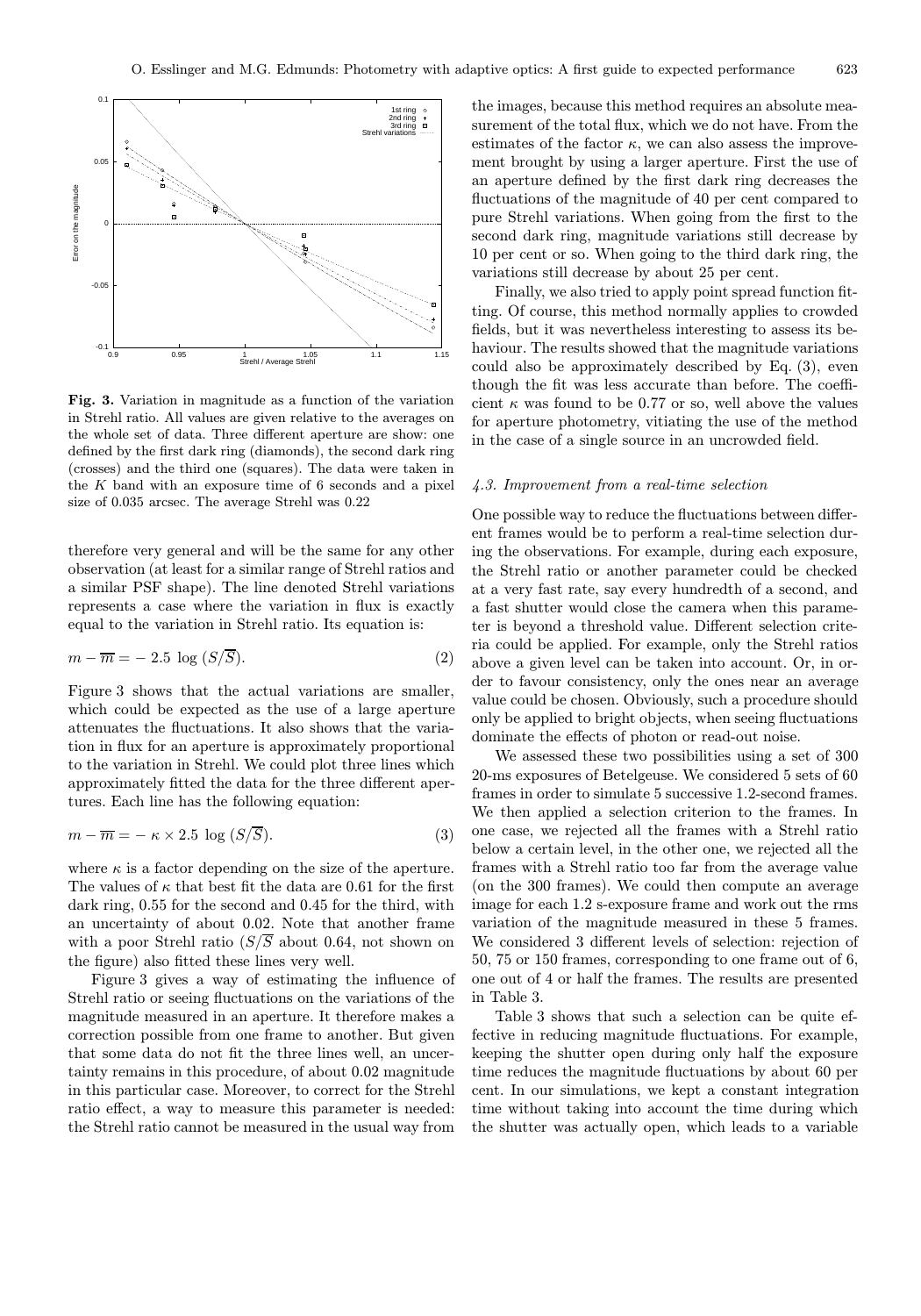

Fig. 3. Variation in magnitude as a function of the variation in Strehl ratio. All values are given relative to the averages on the whole set of data. Three different aperture are show: one defined by the first dark ring (diamonds), the second dark ring (crosses) and the third one (squares). The data were taken in the  $K$  band with an exposure time of 6 seconds and a pixel size of 0.035 arcsec. The average Strehl was 0.22

therefore very general and will be the same for any other observation (at least for a similar range of Strehl ratios and a similar PSF shape). The line denoted Strehl variations represents a case where the variation in flux is exactly equal to the variation in Strehl ratio. Its equation is:

$$
m - \overline{m} = -2.5 \log (S/\overline{S}). \tag{2}
$$

Figure 3 shows that the actual variations are smaller, which could be expected as the use of a large aperture attenuates the fluctuations. It also shows that the variation in flux for an aperture is approximately proportional to the variation in Strehl. We could plot three lines which approximately fitted the data for the three different apertures. Each line has the following equation:

$$
m - \overline{m} = -\kappa \times 2.5 \log (S/S). \tag{3}
$$

where  $\kappa$  is a factor depending on the size of the aperture. The values of  $\kappa$  that best fit the data are 0.61 for the first dark ring, 0.55 for the second and 0.45 for the third, with an uncertainty of about 0.02. Note that another frame with a poor Strehl ratio  $(S/S$  about 0.64, not shown on the figure) also fitted these lines very well.

Figure 3 gives a way of estimating the influence of Strehl ratio or seeing fluctuations on the variations of the magnitude measured in an aperture. It therefore makes a correction possible from one frame to another. But given that some data do not fit the three lines well, an uncertainty remains in this procedure, of about 0.02 magnitude in this particular case. Moreover, to correct for the Strehl ratio effect, a way to measure this parameter is needed: the Strehl ratio cannot be measured in the usual way from

the images, because this method requires an absolute measurement of the total flux, which we do not have. From the estimates of the factor  $\kappa$ , we can also assess the improvement brought by using a larger aperture. First the use of an aperture defined by the first dark ring decreases the fluctuations of the magnitude of 40 per cent compared to pure Strehl variations. When going from the first to the second dark ring, magnitude variations still decrease by 10 per cent or so. When going to the third dark ring, the variations still decrease by about 25 per cent.

Finally, we also tried to apply point spread function fitting. Of course, this method normally applies to crowded fields, but it was nevertheless interesting to assess its behaviour. The results showed that the magnitude variations could also be approximately described by Eq. (3), even though the fit was less accurate than before. The coefficient  $\kappa$  was found to be 0.77 or so, well above the values for aperture photometry, vitiating the use of the method in the case of a single source in an uncrowded field.

#### 4.3. Improvement from a real-time selection

One possible way to reduce the fluctuations between different frames would be to perform a real-time selection during the observations. For example, during each exposure, the Strehl ratio or another parameter could be checked at a very fast rate, say every hundredth of a second, and a fast shutter would close the camera when this parameter is beyond a threshold value. Different selection criteria could be applied. For example, only the Strehl ratios above a given level can be taken into account. Or, in order to favour consistency, only the ones near an average value could be chosen. Obviously, such a procedure should only be applied to bright objects, when seeing fluctuations dominate the effects of photon or read-out noise.

We assessed these two possibilities using a set of 300 20-ms exposures of Betelgeuse. We considered 5 sets of 60 frames in order to simulate 5 successive 1.2-second frames. We then applied a selection criterion to the frames. In one case, we rejected all the frames with a Strehl ratio below a certain level, in the other one, we rejected all the frames with a Strehl ratio too far from the average value (on the 300 frames). We could then compute an average image for each 1.2 s-exposure frame and work out the rms variation of the magnitude measured in these 5 frames. We considered 3 different levels of selection: rejection of 50, 75 or 150 frames, corresponding to one frame out of 6, one out of 4 or half the frames. The results are presented in Table 3.

Table 3 shows that such a selection can be quite effective in reducing magnitude fluctuations. For example, keeping the shutter open during only half the exposure time reduces the magnitude fluctuations by about 60 per cent. In our simulations, we kept a constant integration time without taking into account the time during which the shutter was actually open, which leads to a variable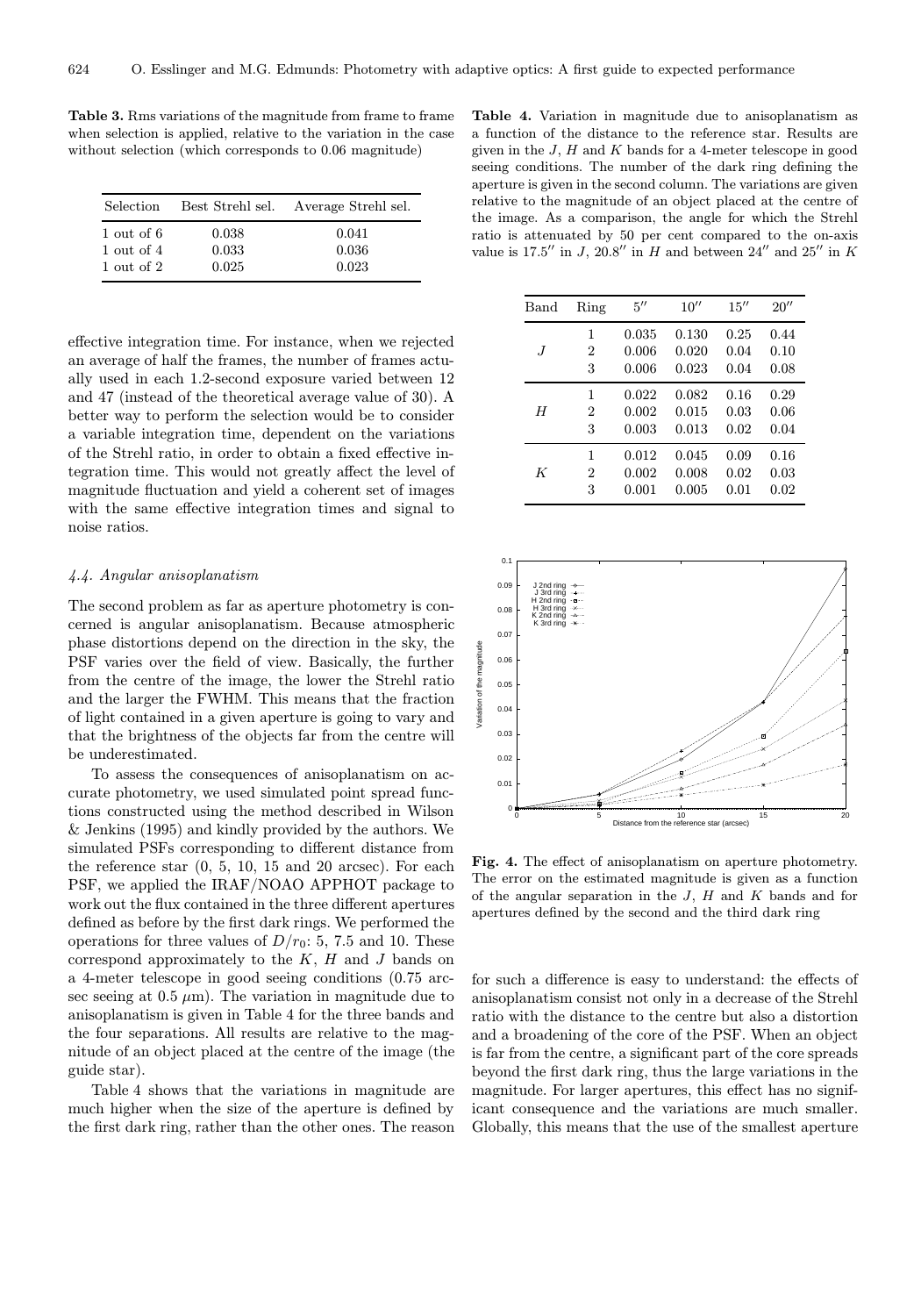Table 3. Rms variations of the magnitude from frame to frame when selection is applied, relative to the variation in the case without selection (which corresponds to 0.06 magnitude)

| <b>Selection</b> | Best Strehl sel. | Average Strehl sel. |
|------------------|------------------|---------------------|
| 1 out of 6       | 0.038            | 0.041               |
| 1 out of 4       | 0.033            | 0.036               |
| 1 out of 2       | 0.025            | 0.023               |

effective integration time. For instance, when we rejected an average of half the frames, the number of frames actually used in each 1.2-second exposure varied between 12 and 47 (instead of the theoretical average value of 30). A better way to perform the selection would be to consider a variable integration time, dependent on the variations of the Strehl ratio, in order to obtain a fixed effective integration time. This would not greatly affect the level of magnitude fluctuation and yield a coherent set of images with the same effective integration times and signal to noise ratios.

# 4.4. Angular anisoplanatism

The second problem as far as aperture photometry is concerned is angular anisoplanatism. Because atmospheric phase distortions depend on the direction in the sky, the PSF varies over the field of view. Basically, the further from the centre of the image, the lower the Strehl ratio and the larger the FWHM. This means that the fraction of light contained in a given aperture is going to vary and that the brightness of the objects far from the centre will be underestimated.

To assess the consequences of anisoplanatism on accurate photometry, we used simulated point spread functions constructed using the method described in Wilson & Jenkins (1995) and kindly provided by the authors. We simulated PSFs corresponding to different distance from the reference star  $(0, 5, 10, 15, 10, 20, 10, 15)$  and  $(20, 20, 10, 15)$ PSF, we applied the IRAF/NOAO APPHOT package to work out the flux contained in the three different apertures defined as before by the first dark rings. We performed the operations for three values of  $D/r_0$ : 5, 7.5 and 10. These correspond approximately to the  $K$ ,  $H$  and  $J$  bands on a 4-meter telescope in good seeing conditions (0.75 arcsec seeing at  $0.5 \mu m$ ). The variation in magnitude due to anisoplanatism is given in Table 4 for the three bands and the four separations. All results are relative to the magnitude of an object placed at the centre of the image (the guide star).

Table 4 shows that the variations in magnitude are much higher when the size of the aperture is defined by the first dark ring, rather than the other ones. The reason

Table 4. Variation in magnitude due to anisoplanatism as a function of the distance to the reference star. Results are given in the  $J$ ,  $H$  and  $K$  bands for a 4-meter telescope in good seeing conditions. The number of the dark ring defining the aperture is given in the second column. The variations are given relative to the magnitude of an object placed at the centre of the image. As a comparison, the angle for which the Strehl ratio is attenuated by 50 per cent compared to the on-axis value is 17.5" in J, 20.8" in H and between  $24$ " and  $25$ " in K

| Band | Ring           | $5^{\prime\prime}$ | 10''  | 15'' | 20'' |
|------|----------------|--------------------|-------|------|------|
| J    | 1              | 0.035              | 0.130 | 0.25 | 0.44 |
|      | 2              | 0.006              | 0.020 | 0.04 | 0.10 |
|      | 3              | 0.006              | 0.023 | 0.04 | 0.08 |
| H    | 1              | 0.022              | 0.082 | 0.16 | 0.29 |
|      | $\overline{2}$ | 0.002              | 0.015 | 0.03 | 0.06 |
|      | 3              | 0.003              | 0.013 | 0.02 | 0.04 |
| K    | 1              | 0.012              | 0.045 | 0.09 | 0.16 |
|      | 2              | 0.002              | 0.008 | 0.02 | 0.03 |
|      | 3              | 0.001              | 0.005 | 0.01 | 0.02 |



Fig. 4. The effect of anisoplanatism on aperture photometry. The error on the estimated magnitude is given as a function of the angular separation in the  $J$ ,  $H$  and  $K$  bands and for apertures defined by the second and the third dark ring

for such a difference is easy to understand: the effects of anisoplanatism consist not only in a decrease of the Strehl ratio with the distance to the centre but also a distortion and a broadening of the core of the PSF. When an object is far from the centre, a significant part of the core spreads beyond the first dark ring, thus the large variations in the magnitude. For larger apertures, this effect has no significant consequence and the variations are much smaller. Globally, this means that the use of the smallest aperture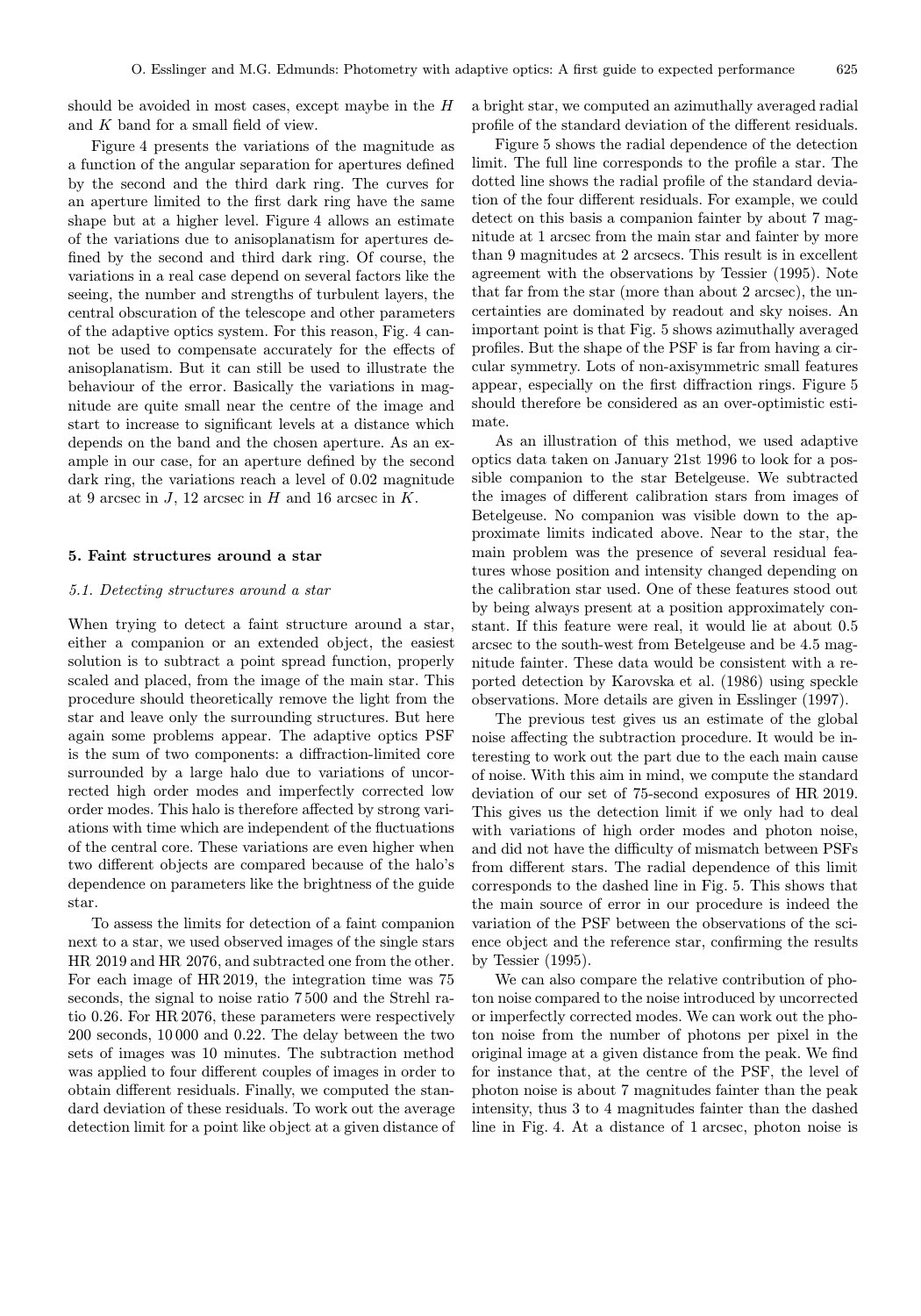should be avoided in most cases, except maybe in the H and K band for a small field of view.

Figure 4 presents the variations of the magnitude as a function of the angular separation for apertures defined by the second and the third dark ring. The curves for an aperture limited to the first dark ring have the same shape but at a higher level. Figure 4 allows an estimate of the variations due to anisoplanatism for apertures defined by the second and third dark ring. Of course, the variations in a real case depend on several factors like the seeing, the number and strengths of turbulent layers, the central obscuration of the telescope and other parameters of the adaptive optics system. For this reason, Fig. 4 cannot be used to compensate accurately for the effects of anisoplanatism. But it can still be used to illustrate the behaviour of the error. Basically the variations in magnitude are quite small near the centre of the image and start to increase to significant levels at a distance which depends on the band and the chosen aperture. As an example in our case, for an aperture defined by the second dark ring, the variations reach a level of 0.02 magnitude at 9 arcsec in  $J$ , 12 arcsec in  $H$  and 16 arcsec in  $K$ .

## 5. Faint structures around a star

#### 5.1. Detecting structures around a star

When trying to detect a faint structure around a star, either a companion or an extended object, the easiest solution is to subtract a point spread function, properly scaled and placed, from the image of the main star. This procedure should theoretically remove the light from the star and leave only the surrounding structures. But here again some problems appear. The adaptive optics PSF is the sum of two components: a diffraction-limited core surrounded by a large halo due to variations of uncorrected high order modes and imperfectly corrected low order modes. This halo is therefore affected by strong variations with time which are independent of the fluctuations of the central core. These variations are even higher when two different objects are compared because of the halo's dependence on parameters like the brightness of the guide star.

To assess the limits for detection of a faint companion next to a star, we used observed images of the single stars HR 2019 and HR 2076, and subtracted one from the other. For each image of HR 2019, the integration time was 75 seconds, the signal to noise ratio 7 500 and the Strehl ratio 0.26. For HR 2076, these parameters were respectively 200 seconds, 10 000 and 0.22. The delay between the two sets of images was 10 minutes. The subtraction method was applied to four different couples of images in order to obtain different residuals. Finally, we computed the standard deviation of these residuals. To work out the average detection limit for a point like object at a given distance of a bright star, we computed an azimuthally averaged radial profile of the standard deviation of the different residuals.

Figure 5 shows the radial dependence of the detection limit. The full line corresponds to the profile a star. The dotted line shows the radial profile of the standard deviation of the four different residuals. For example, we could detect on this basis a companion fainter by about 7 magnitude at 1 arcsec from the main star and fainter by more than 9 magnitudes at 2 arcsecs. This result is in excellent agreement with the observations by Tessier (1995). Note that far from the star (more than about 2 arcsec), the uncertainties are dominated by readout and sky noises. An important point is that Fig. 5 shows azimuthally averaged profiles. But the shape of the PSF is far from having a circular symmetry. Lots of non-axisymmetric small features appear, especially on the first diffraction rings. Figure 5 should therefore be considered as an over-optimistic estimate.

As an illustration of this method, we used adaptive optics data taken on January 21st 1996 to look for a possible companion to the star Betelgeuse. We subtracted the images of different calibration stars from images of Betelgeuse. No companion was visible down to the approximate limits indicated above. Near to the star, the main problem was the presence of several residual features whose position and intensity changed depending on the calibration star used. One of these features stood out by being always present at a position approximately constant. If this feature were real, it would lie at about 0.5 arcsec to the south-west from Betelgeuse and be 4.5 magnitude fainter. These data would be consistent with a reported detection by Karovska et al. (1986) using speckle observations. More details are given in Esslinger (1997).

The previous test gives us an estimate of the global noise affecting the subtraction procedure. It would be interesting to work out the part due to the each main cause of noise. With this aim in mind, we compute the standard deviation of our set of 75-second exposures of HR 2019. This gives us the detection limit if we only had to deal with variations of high order modes and photon noise, and did not have the difficulty of mismatch between PSFs from different stars. The radial dependence of this limit corresponds to the dashed line in Fig. 5. This shows that the main source of error in our procedure is indeed the variation of the PSF between the observations of the science object and the reference star, confirming the results by Tessier (1995).

We can also compare the relative contribution of photon noise compared to the noise introduced by uncorrected or imperfectly corrected modes. We can work out the photon noise from the number of photons per pixel in the original image at a given distance from the peak. We find for instance that, at the centre of the PSF, the level of photon noise is about 7 magnitudes fainter than the peak intensity, thus 3 to 4 magnitudes fainter than the dashed line in Fig. 4. At a distance of 1 arcsec, photon noise is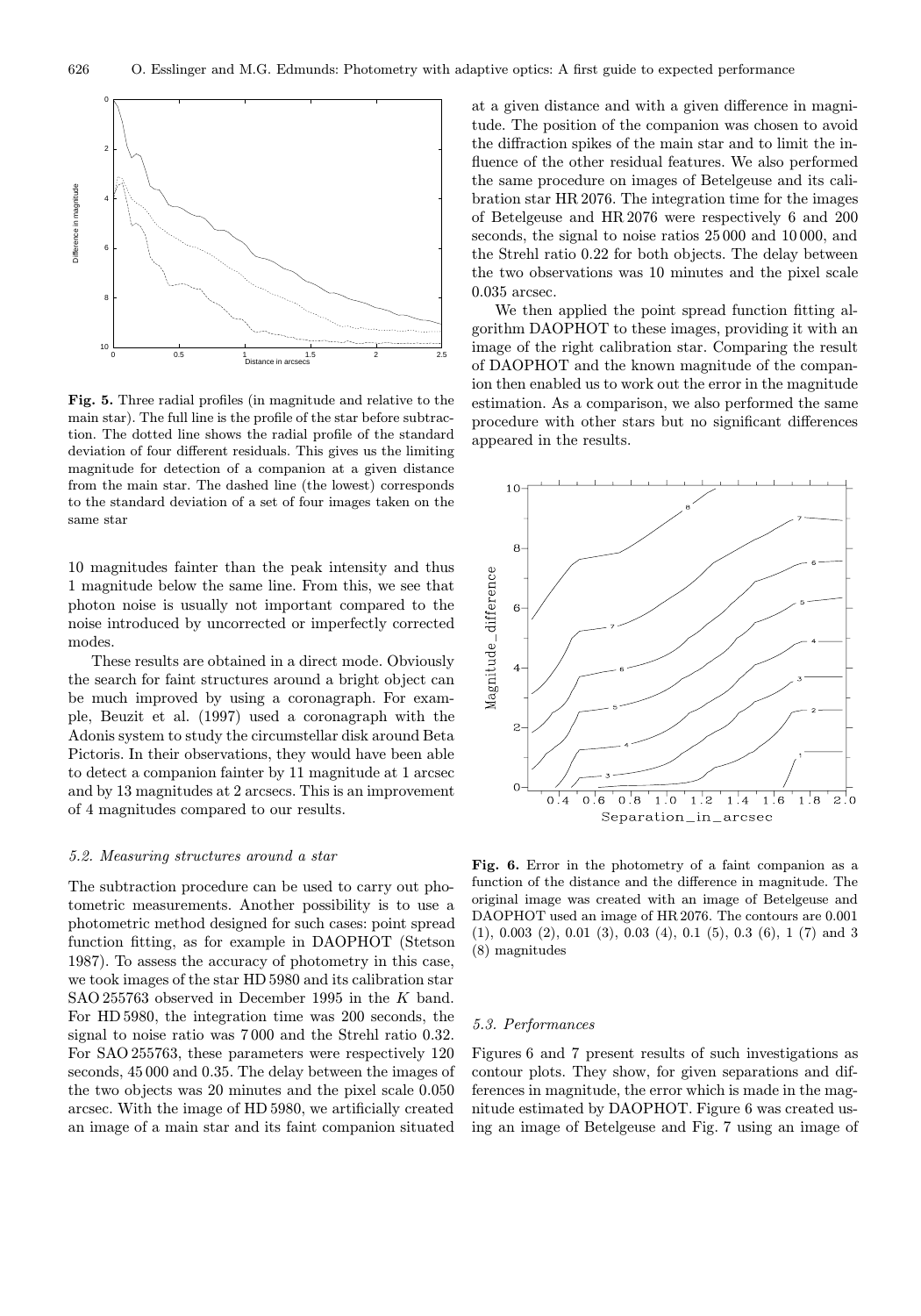

Fig. 5. Three radial profiles (in magnitude and relative to the main star). The full line is the profile of the star before subtraction. The dotted line shows the radial profile of the standard deviation of four different residuals. This gives us the limiting magnitude for detection of a companion at a given distance from the main star. The dashed line (the lowest) corresponds to the standard deviation of a set of four images taken on the same star

10 magnitudes fainter than the peak intensity and thus 1 magnitude below the same line. From this, we see that photon noise is usually not important compared to the noise introduced by uncorrected or imperfectly corrected modes.

These results are obtained in a direct mode. Obviously the search for faint structures around a bright object can be much improved by using a coronagraph. For example, Beuzit et al. (1997) used a coronagraph with the Adonis system to study the circumstellar disk around Beta Pictoris. In their observations, they would have been able to detect a companion fainter by 11 magnitude at 1 arcsec and by 13 magnitudes at 2 arcsecs. This is an improvement of 4 magnitudes compared to our results.

#### 5.2. Measuring structures around a star

The subtraction procedure can be used to carry out photometric measurements. Another possibility is to use a photometric method designed for such cases: point spread function fitting, as for example in DAOPHOT (Stetson 1987). To assess the accuracy of photometry in this case, we took images of the star HD 5980 and its calibration star SAO 255763 observed in December 1995 in the K band. For HD 5980, the integration time was 200 seconds, the signal to noise ratio was 7 000 and the Strehl ratio 0.32. For SAO 255763, these parameters were respectively 120 seconds, 45 000 and 0.35. The delay between the images of the two objects was 20 minutes and the pixel scale 0.050 arcsec. With the image of HD 5980, we artificially created an image of a main star and its faint companion situated at a given distance and with a given difference in magnitude. The position of the companion was chosen to avoid the diffraction spikes of the main star and to limit the influence of the other residual features. We also performed the same procedure on images of Betelgeuse and its calibration star HR 2076. The integration time for the images of Betelgeuse and HR 2076 were respectively 6 and 200 seconds, the signal to noise ratios 25 000 and 10 000, and the Strehl ratio 0.22 for both objects. The delay between the two observations was 10 minutes and the pixel scale 0.035 arcsec.

We then applied the point spread function fitting algorithm DAOPHOT to these images, providing it with an image of the right calibration star. Comparing the result of DAOPHOT and the known magnitude of the companion then enabled us to work out the error in the magnitude estimation. As a comparison, we also performed the same procedure with other stars but no significant differences appeared in the results.



Fig. 6. Error in the photometry of a faint companion as a function of the distance and the difference in magnitude. The original image was created with an image of Betelgeuse and DAOPHOT used an image of HR 2076. The contours are 0.001 (1), 0.003 (2), 0.01 (3), 0.03 (4), 0.1 (5), 0.3 (6), 1 (7) and 3 (8) magnitudes

## 5.3. Performances

Figures 6 and 7 present results of such investigations as contour plots. They show, for given separations and differences in magnitude, the error which is made in the magnitude estimated by DAOPHOT. Figure 6 was created using an image of Betelgeuse and Fig. 7 using an image of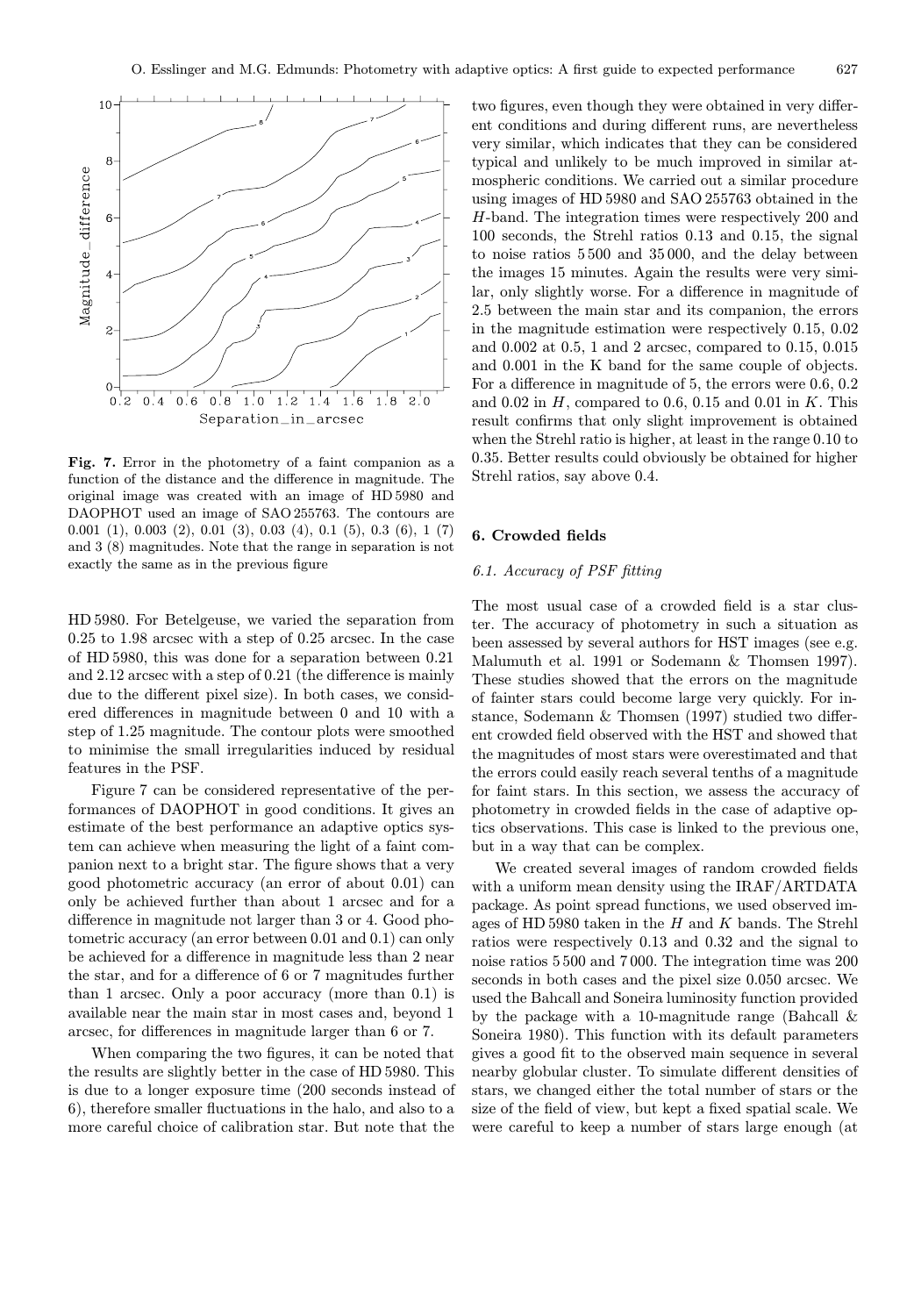

Fig. 7. Error in the photometry of a faint companion as a function of the distance and the difference in magnitude. The original image was created with an image of HD 5980 and DAOPHOT used an image of SAO 255763. The contours are 0.001 (1), 0.003 (2), 0.01 (3), 0.03 (4), 0.1 (5), 0.3 (6), 1 (7) and 3 (8) magnitudes. Note that the range in separation is not exactly the same as in the previous figure

HD 5980. For Betelgeuse, we varied the separation from 0.25 to 1.98 arcsec with a step of 0.25 arcsec. In the case of HD 5980, this was done for a separation between 0.21 and 2.12 arcsec with a step of 0.21 (the difference is mainly due to the different pixel size). In both cases, we considered differences in magnitude between 0 and 10 with a step of 1.25 magnitude. The contour plots were smoothed to minimise the small irregularities induced by residual features in the PSF.

Figure 7 can be considered representative of the performances of DAOPHOT in good conditions. It gives an estimate of the best performance an adaptive optics system can achieve when measuring the light of a faint companion next to a bright star. The figure shows that a very good photometric accuracy (an error of about 0.01) can only be achieved further than about 1 arcsec and for a difference in magnitude not larger than 3 or 4. Good photometric accuracy (an error between 0.01 and 0.1) can only be achieved for a difference in magnitude less than 2 near the star, and for a difference of 6 or 7 magnitudes further than 1 arcsec. Only a poor accuracy (more than 0.1) is available near the main star in most cases and, beyond 1 arcsec, for differences in magnitude larger than 6 or 7.

When comparing the two figures, it can be noted that the results are slightly better in the case of HD 5980. This is due to a longer exposure time (200 seconds instead of 6), therefore smaller fluctuations in the halo, and also to a more careful choice of calibration star. But note that the

two figures, even though they were obtained in very different conditions and during different runs, are nevertheless very similar, which indicates that they can be considered typical and unlikely to be much improved in similar atmospheric conditions. We carried out a similar procedure using images of HD 5980 and SAO 255763 obtained in the H-band. The integration times were respectively 200 and 100 seconds, the Strehl ratios 0.13 and 0.15, the signal to noise ratios 5 500 and 35 000, and the delay between the images 15 minutes. Again the results were very similar, only slightly worse. For a difference in magnitude of 2.5 between the main star and its companion, the errors in the magnitude estimation were respectively 0.15, 0.02 and 0.002 at 0.5, 1 and 2 arcsec, compared to 0.15, 0.015 and 0.001 in the K band for the same couple of objects. For a difference in magnitude of 5, the errors were 0.6, 0.2 and 0.02 in  $H$ , compared to 0.6, 0.15 and 0.01 in  $K$ . This result confirms that only slight improvement is obtained when the Strehl ratio is higher, at least in the range 0.10 to 0.35. Better results could obviously be obtained for higher Strehl ratios, say above 0.4.

#### 6. Crowded fields

## 6.1. Accuracy of PSF fitting

The most usual case of a crowded field is a star cluster. The accuracy of photometry in such a situation as been assessed by several authors for HST images (see e.g. Malumuth et al. 1991 or Sodemann & Thomsen 1997). These studies showed that the errors on the magnitude of fainter stars could become large very quickly. For instance, Sodemann & Thomsen (1997) studied two different crowded field observed with the HST and showed that the magnitudes of most stars were overestimated and that the errors could easily reach several tenths of a magnitude for faint stars. In this section, we assess the accuracy of photometry in crowded fields in the case of adaptive optics observations. This case is linked to the previous one, but in a way that can be complex.

We created several images of random crowded fields with a uniform mean density using the IRAF/ARTDATA package. As point spread functions, we used observed images of HD 5980 taken in the  $H$  and  $K$  bands. The Strehl ratios were respectively 0.13 and 0.32 and the signal to noise ratios 5 500 and 7 000. The integration time was 200 seconds in both cases and the pixel size 0.050 arcsec. We used the Bahcall and Soneira luminosity function provided by the package with a 10-magnitude range (Bahcall  $\&$ Soneira 1980). This function with its default parameters gives a good fit to the observed main sequence in several nearby globular cluster. To simulate different densities of stars, we changed either the total number of stars or the size of the field of view, but kept a fixed spatial scale. We were careful to keep a number of stars large enough (at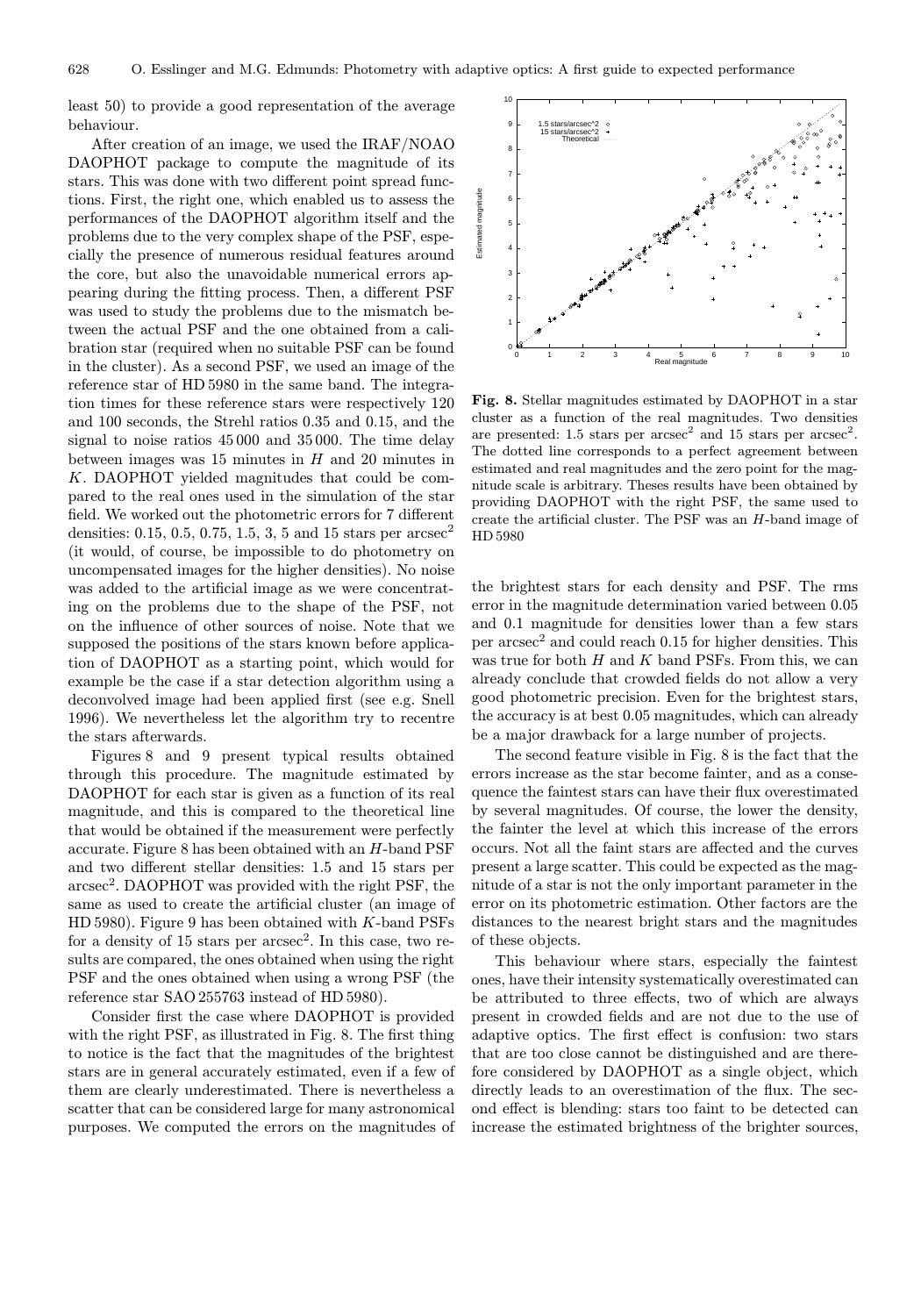least 50) to provide a good representation of the average behaviour.

After creation of an image, we used the IRAF/NOAO DAOPHOT package to compute the magnitude of its stars. This was done with two different point spread functions. First, the right one, which enabled us to assess the performances of the DAOPHOT algorithm itself and the problems due to the very complex shape of the PSF, especially the presence of numerous residual features around the core, but also the unavoidable numerical errors appearing during the fitting process. Then, a different PSF was used to study the problems due to the mismatch between the actual PSF and the one obtained from a calibration star (required when no suitable PSF can be found in the cluster). As a second PSF, we used an image of the reference star of HD 5980 in the same band. The integration times for these reference stars were respectively 120 and 100 seconds, the Strehl ratios 0.35 and 0.15, and the signal to noise ratios 45 000 and 35 000. The time delay between images was 15 minutes in  $H$  and 20 minutes in K. DAOPHOT yielded magnitudes that could be compared to the real ones used in the simulation of the star field. We worked out the photometric errors for 7 different densities: 0.15, 0.5, 0.75, 1.5, 3, 5 and 15 stars per  $\arccos\!c^2$ (it would, of course, be impossible to do photometry on uncompensated images for the higher densities). No noise was added to the artificial image as we were concentrating on the problems due to the shape of the PSF, not on the influence of other sources of noise. Note that we supposed the positions of the stars known before application of DAOPHOT as a starting point, which would for example be the case if a star detection algorithm using a deconvolved image had been applied first (see e.g. Snell 1996). We nevertheless let the algorithm try to recentre the stars afterwards.

Figures 8 and 9 present typical results obtained through this procedure. The magnitude estimated by DAOPHOT for each star is given as a function of its real magnitude, and this is compared to the theoretical line that would be obtained if the measurement were perfectly accurate. Figure 8 has been obtained with an H-band PSF and two different stellar densities: 1.5 and 15 stars per  $\arcsc^2$ . DAOPHOT was provided with the right PSF, the same as used to create the artificial cluster (an image of HD 5980). Figure 9 has been obtained with K-band PSFs for a density of 15 stars per  $arcsec^2$ . In this case, two results are compared, the ones obtained when using the right PSF and the ones obtained when using a wrong PSF (the reference star SAO 255763 instead of HD 5980).

Consider first the case where DAOPHOT is provided with the right PSF, as illustrated in Fig. 8. The first thing to notice is the fact that the magnitudes of the brightest stars are in general accurately estimated, even if a few of them are clearly underestimated. There is nevertheless a scatter that can be considered large for many astronomical purposes. We computed the errors on the magnitudes of



Fig. 8. Stellar magnitudes estimated by DAOPHOT in a star cluster as a function of the real magnitudes. Two densities are presented: 1.5 stars per  $\arccos\alpha^2$  and 15 stars per  $\arccos\alpha^2$ . The dotted line corresponds to a perfect agreement between estimated and real magnitudes and the zero point for the magnitude scale is arbitrary. Theses results have been obtained by providing DAOPHOT with the right PSF, the same used to create the artificial cluster. The PSF was an H-band image of HD 5980

the brightest stars for each density and PSF. The rms error in the magnitude determination varied between 0.05 and 0.1 magnitude for densities lower than a few stars per  $\arccos c^2$  and could reach 0.15 for higher densities. This was true for both  $H$  and  $K$  band PSFs. From this, we can already conclude that crowded fields do not allow a very good photometric precision. Even for the brightest stars, the accuracy is at best 0.05 magnitudes, which can already be a major drawback for a large number of projects.

The second feature visible in Fig. 8 is the fact that the errors increase as the star become fainter, and as a consequence the faintest stars can have their flux overestimated by several magnitudes. Of course, the lower the density, the fainter the level at which this increase of the errors occurs. Not all the faint stars are affected and the curves present a large scatter. This could be expected as the magnitude of a star is not the only important parameter in the error on its photometric estimation. Other factors are the distances to the nearest bright stars and the magnitudes of these objects.

This behaviour where stars, especially the faintest ones, have their intensity systematically overestimated can be attributed to three effects, two of which are always present in crowded fields and are not due to the use of adaptive optics. The first effect is confusion: two stars that are too close cannot be distinguished and are therefore considered by DAOPHOT as a single object, which directly leads to an overestimation of the flux. The second effect is blending: stars too faint to be detected can increase the estimated brightness of the brighter sources,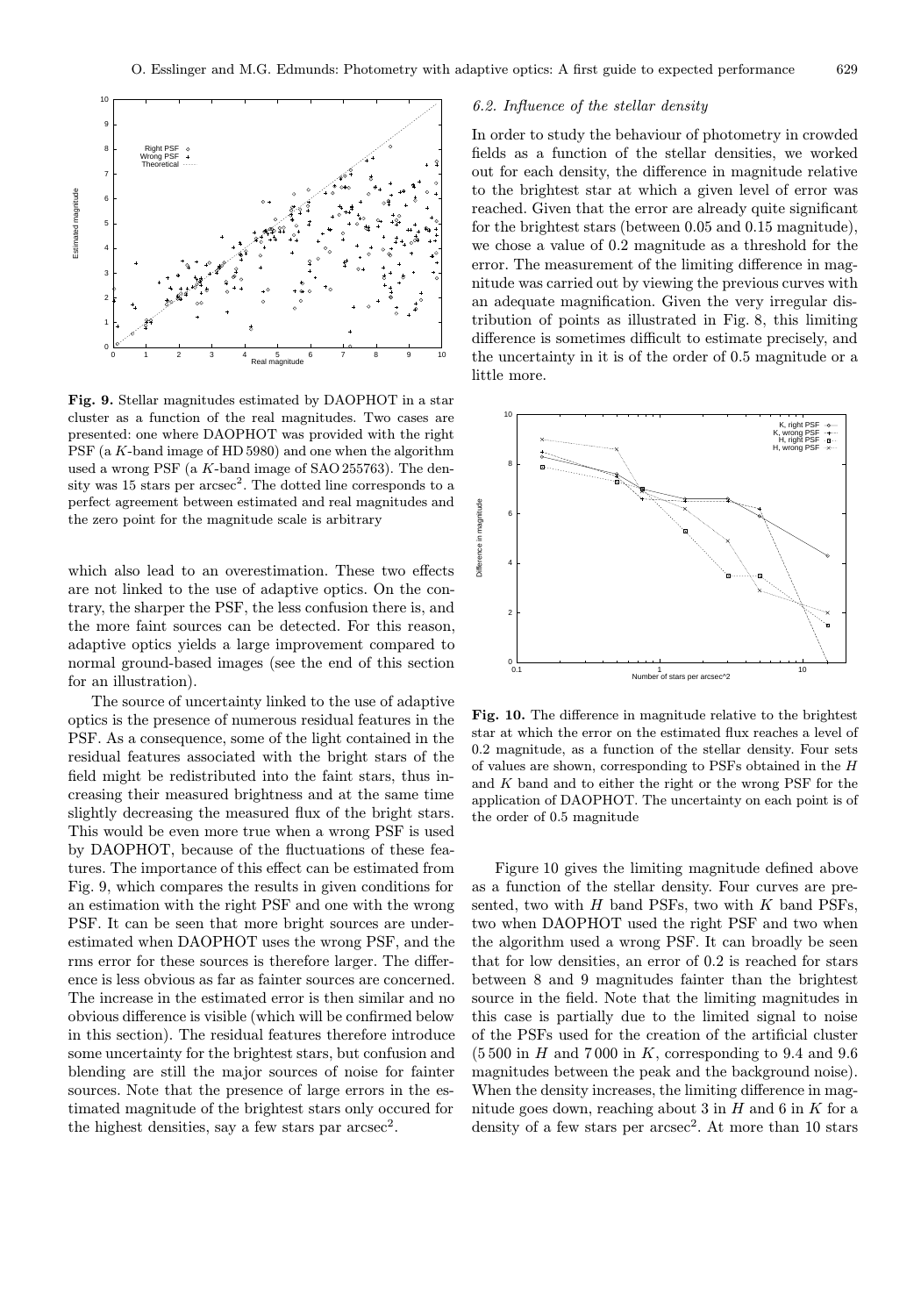

Fig. 9. Stellar magnitudes estimated by DAOPHOT in a star cluster as a function of the real magnitudes. Two cases are presented: one where DAOPHOT was provided with the right PSF (a K-band image of HD 5980) and one when the algorithm used a wrong PSF (a K-band image of SAO 255763). The density was  $15$  stars per  $\arccosce^2$ . The dotted line corresponds to a perfect agreement between estimated and real magnitudes and the zero point for the magnitude scale is arbitrary

which also lead to an overestimation. These two effects are not linked to the use of adaptive optics. On the contrary, the sharper the PSF, the less confusion there is, and the more faint sources can be detected. For this reason, adaptive optics yields a large improvement compared to normal ground-based images (see the end of this section for an illustration).

The source of uncertainty linked to the use of adaptive optics is the presence of numerous residual features in the PSF. As a consequence, some of the light contained in the residual features associated with the bright stars of the field might be redistributed into the faint stars, thus increasing their measured brightness and at the same time slightly decreasing the measured flux of the bright stars. This would be even more true when a wrong PSF is used by DAOPHOT, because of the fluctuations of these features. The importance of this effect can be estimated from Fig. 9, which compares the results in given conditions for an estimation with the right PSF and one with the wrong PSF. It can be seen that more bright sources are underestimated when DAOPHOT uses the wrong PSF, and the rms error for these sources is therefore larger. The difference is less obvious as far as fainter sources are concerned. The increase in the estimated error is then similar and no obvious difference is visible (which will be confirmed below in this section). The residual features therefore introduce some uncertainty for the brightest stars, but confusion and blending are still the major sources of noise for fainter sources. Note that the presence of large errors in the estimated magnitude of the brightest stars only occured for the highest densities, say a few stars par  $\arccos c^2$ .

## 6.2. Influence of the stellar density

In order to study the behaviour of photometry in crowded fields as a function of the stellar densities, we worked out for each density, the difference in magnitude relative to the brightest star at which a given level of error was reached. Given that the error are already quite significant for the brightest stars (between 0.05 and 0.15 magnitude), we chose a value of 0.2 magnitude as a threshold for the error. The measurement of the limiting difference in magnitude was carried out by viewing the previous curves with an adequate magnification. Given the very irregular distribution of points as illustrated in Fig. 8, this limiting difference is sometimes difficult to estimate precisely, and the uncertainty in it is of the order of 0.5 magnitude or a little more.



Fig. 10. The difference in magnitude relative to the brightest star at which the error on the estimated flux reaches a level of 0.2 magnitude, as a function of the stellar density. Four sets of values are shown, corresponding to PSFs obtained in the  $H$ and K band and to either the right or the wrong PSF for the application of DAOPHOT. The uncertainty on each point is of the order of 0.5 magnitude

Figure 10 gives the limiting magnitude defined above as a function of the stellar density. Four curves are presented, two with  $H$  band PSFs, two with  $K$  band PSFs, two when DAOPHOT used the right PSF and two when the algorithm used a wrong PSF. It can broadly be seen that for low densities, an error of 0.2 is reached for stars between 8 and 9 magnitudes fainter than the brightest source in the field. Note that the limiting magnitudes in this case is partially due to the limited signal to noise of the PSFs used for the creation of the artificial cluster  $(5500 \text{ in } H \text{ and } 7000 \text{ in } K,$  corresponding to 9.4 and 9.6 magnitudes between the peak and the background noise). When the density increases, the limiting difference in magnitude goes down, reaching about 3 in  $H$  and 6 in  $K$  for a density of a few stars per  $\arccos\alpha^2$ . At more than 10 stars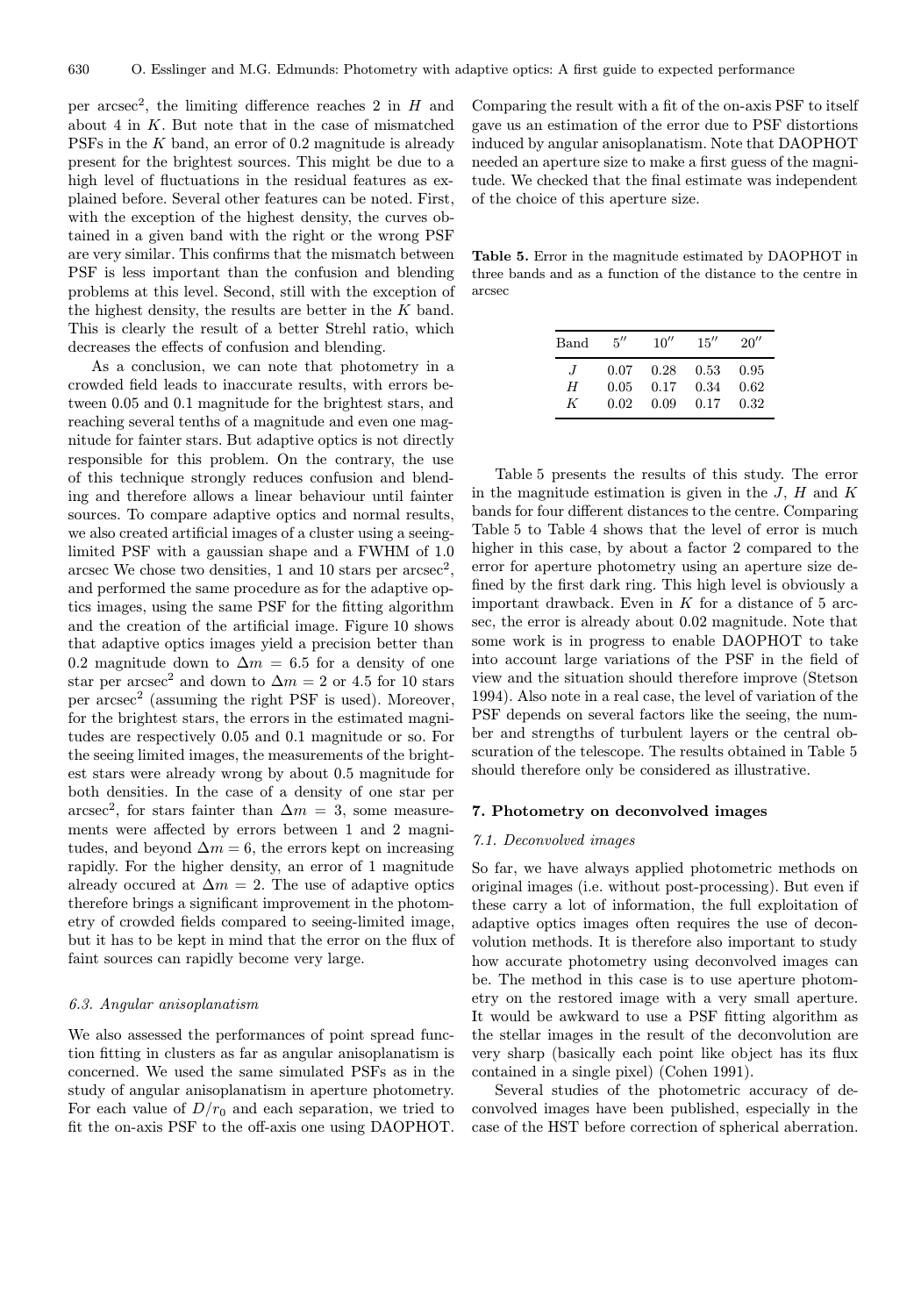per arcsec<sup>2</sup>, the limiting difference reaches 2 in  $H$  and about 4 in K. But note that in the case of mismatched PSFs in the K band, an error of 0.2 magnitude is already present for the brightest sources. This might be due to a high level of fluctuations in the residual features as explained before. Several other features can be noted. First, with the exception of the highest density, the curves obtained in a given band with the right or the wrong PSF are very similar. This confirms that the mismatch between PSF is less important than the confusion and blending problems at this level. Second, still with the exception of the highest density, the results are better in the K band. This is clearly the result of a better Strehl ratio, which decreases the effects of confusion and blending.

As a conclusion, we can note that photometry in a crowded field leads to inaccurate results, with errors between 0.05 and 0.1 magnitude for the brightest stars, and reaching several tenths of a magnitude and even one magnitude for fainter stars. But adaptive optics is not directly responsible for this problem. On the contrary, the use of this technique strongly reduces confusion and blending and therefore allows a linear behaviour until fainter sources. To compare adaptive optics and normal results, we also created artificial images of a cluster using a seeinglimited PSF with a gaussian shape and a FWHM of 1.0 arcsec We chose two densities, 1 and 10 stars per  $\arccos\alpha^2$ , and performed the same procedure as for the adaptive optics images, using the same PSF for the fitting algorithm and the creation of the artificial image. Figure 10 shows that adaptive optics images yield a precision better than 0.2 magnitude down to  $\Delta m = 6.5$  for a density of one star per arcsec<sup>2</sup> and down to  $\Delta m = 2$  or 4.5 for 10 stars per  $\arccos c^2$  (assuming the right PSF is used). Moreover, for the brightest stars, the errors in the estimated magnitudes are respectively 0.05 and 0.1 magnitude or so. For the seeing limited images, the measurements of the brightest stars were already wrong by about 0.5 magnitude for both densities. In the case of a density of one star per arcsec<sup>2</sup>, for stars fainter than  $\Delta m = 3$ , some measurements were affected by errors between 1 and 2 magnitudes, and beyond  $\Delta m = 6$ , the errors kept on increasing rapidly. For the higher density, an error of 1 magnitude already occurred at  $\Delta m = 2$ . The use of adaptive optics therefore brings a significant improvement in the photometry of crowded fields compared to seeing-limited image, but it has to be kept in mind that the error on the flux of faint sources can rapidly become very large.

## 6.3. Angular anisoplanatism

We also assessed the performances of point spread function fitting in clusters as far as angular anisoplanatism is concerned. We used the same simulated PSFs as in the study of angular anisoplanatism in aperture photometry. For each value of  $D/r_0$  and each separation, we tried to fit the on-axis PSF to the off-axis one using DAOPHOT. Comparing the result with a fit of the on-axis PSF to itself gave us an estimation of the error due to PSF distortions induced by angular anisoplanatism. Note that DAOPHOT needed an aperture size to make a first guess of the magnitude. We checked that the final estimate was independent of the choice of this aperture size.

Table 5. Error in the magnitude estimated by DAOPHOT in three bands and as a function of the distance to the centre in arcsec

| Band    | $5^{\prime\prime}$ | 10'' | 15'' | 20'' |
|---------|--------------------|------|------|------|
| $\cdot$ | 0.07               | 0.28 | 0.53 | 0.95 |
| H       | 0.05               | 0.17 | 0.34 | 0.62 |
| K       | 0.02               | 0.09 | 0.17 | 0.32 |

Table 5 presents the results of this study. The error in the magnitude estimation is given in the  $J, H$  and  $K$ bands for four different distances to the centre. Comparing Table 5 to Table 4 shows that the level of error is much higher in this case, by about a factor 2 compared to the error for aperture photometry using an aperture size defined by the first dark ring. This high level is obviously a important drawback. Even in  $K$  for a distance of  $5$  arcsec, the error is already about 0.02 magnitude. Note that some work is in progress to enable DAOPHOT to take into account large variations of the PSF in the field of view and the situation should therefore improve (Stetson 1994). Also note in a real case, the level of variation of the PSF depends on several factors like the seeing, the number and strengths of turbulent layers or the central obscuration of the telescope. The results obtained in Table 5 should therefore only be considered as illustrative.

#### 7. Photometry on deconvolved images

#### 7.1. Deconvolved images

So far, we have always applied photometric methods on original images (i.e. without post-processing). But even if these carry a lot of information, the full exploitation of adaptive optics images often requires the use of deconvolution methods. It is therefore also important to study how accurate photometry using deconvolved images can be. The method in this case is to use aperture photometry on the restored image with a very small aperture. It would be awkward to use a PSF fitting algorithm as the stellar images in the result of the deconvolution are very sharp (basically each point like object has its flux contained in a single pixel) (Cohen 1991).

Several studies of the photometric accuracy of deconvolved images have been published, especially in the case of the HST before correction of spherical aberration.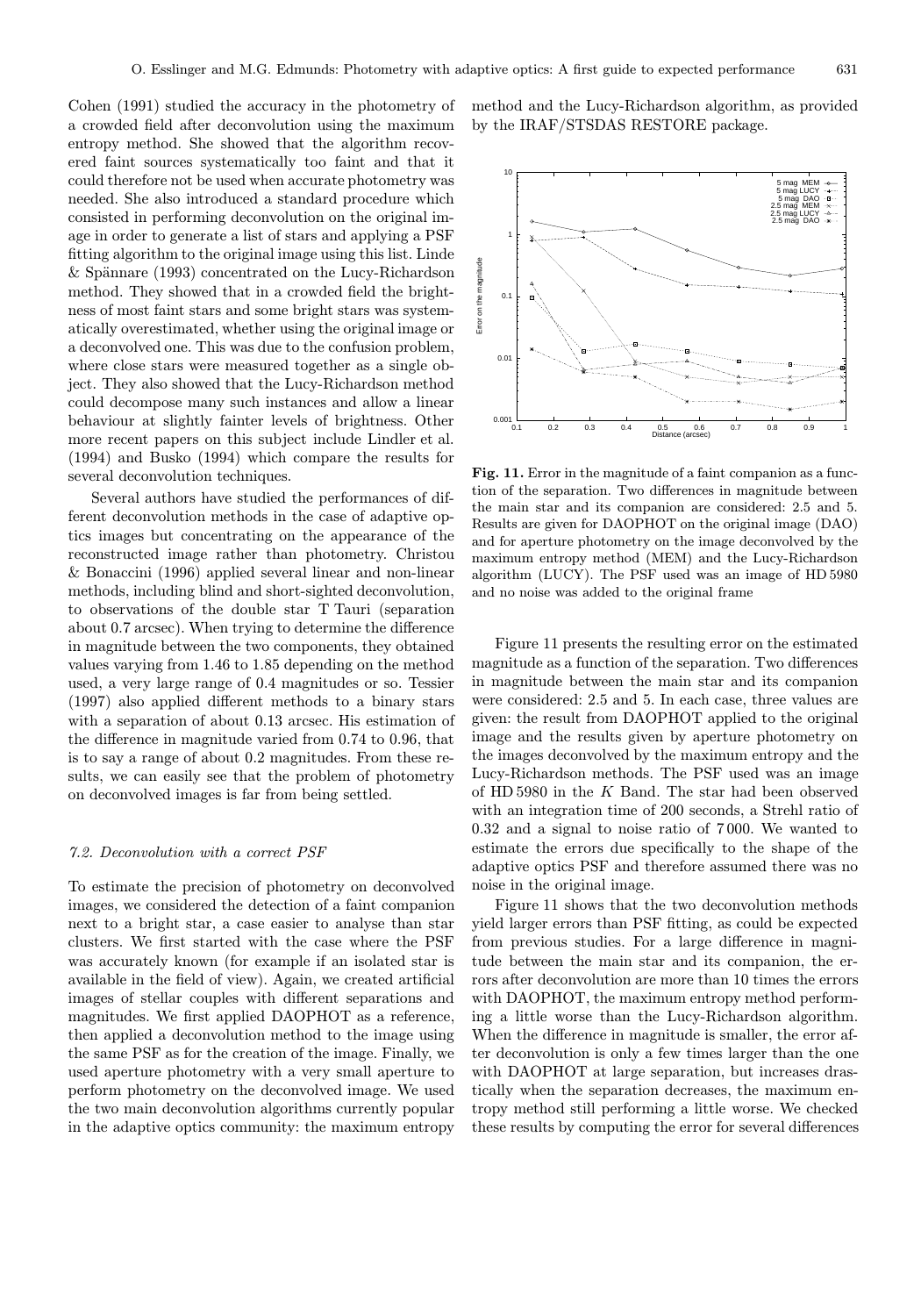Cohen (1991) studied the accuracy in the photometry of a crowded field after deconvolution using the maximum entropy method. She showed that the algorithm recovered faint sources systematically too faint and that it could therefore not be used when accurate photometry was needed. She also introduced a standard procedure which consisted in performing deconvolution on the original image in order to generate a list of stars and applying a PSF fitting algorithm to the original image using this list. Linde  $&$  Spännare (1993) concentrated on the Lucy-Richardson method. They showed that in a crowded field the brightness of most faint stars and some bright stars was systematically overestimated, whether using the original image or a deconvolved one. This was due to the confusion problem, where close stars were measured together as a single object. They also showed that the Lucy-Richardson method could decompose many such instances and allow a linear behaviour at slightly fainter levels of brightness. Other more recent papers on this subject include Lindler et al. (1994) and Busko (1994) which compare the results for several deconvolution techniques.

Several authors have studied the performances of different deconvolution methods in the case of adaptive optics images but concentrating on the appearance of the reconstructed image rather than photometry. Christou & Bonaccini (1996) applied several linear and non-linear methods, including blind and short-sighted deconvolution, to observations of the double star T Tauri (separation about 0.7 arcsec). When trying to determine the difference in magnitude between the two components, they obtained values varying from 1.46 to 1.85 depending on the method used, a very large range of 0.4 magnitudes or so. Tessier (1997) also applied different methods to a binary stars with a separation of about 0.13 arcsec. His estimation of the difference in magnitude varied from 0.74 to 0.96, that is to say a range of about 0.2 magnitudes. From these results, we can easily see that the problem of photometry on deconvolved images is far from being settled.

# 7.2. Deconvolution with a correct PSF

To estimate the precision of photometry on deconvolved images, we considered the detection of a faint companion next to a bright star, a case easier to analyse than star clusters. We first started with the case where the PSF was accurately known (for example if an isolated star is available in the field of view). Again, we created artificial images of stellar couples with different separations and magnitudes. We first applied DAOPHOT as a reference, then applied a deconvolution method to the image using the same PSF as for the creation of the image. Finally, we used aperture photometry with a very small aperture to perform photometry on the deconvolved image. We used the two main deconvolution algorithms currently popular in the adaptive optics community: the maximum entropy method and the Lucy-Richardson algorithm, as provided by the IRAF/STSDAS RESTORE package.



Fig. 11. Error in the magnitude of a faint companion as a function of the separation. Two differences in magnitude between the main star and its companion are considered: 2.5 and 5. Results are given for DAOPHOT on the original image (DAO) and for aperture photometry on the image deconvolved by the maximum entropy method (MEM) and the Lucy-Richardson algorithm (LUCY). The PSF used was an image of HD 5980 and no noise was added to the original frame

Figure 11 presents the resulting error on the estimated magnitude as a function of the separation. Two differences in magnitude between the main star and its companion were considered: 2.5 and 5. In each case, three values are given: the result from DAOPHOT applied to the original image and the results given by aperture photometry on the images deconvolved by the maximum entropy and the Lucy-Richardson methods. The PSF used was an image of HD 5980 in the K Band. The star had been observed with an integration time of 200 seconds, a Strehl ratio of 0.32 and a signal to noise ratio of 7 000. We wanted to estimate the errors due specifically to the shape of the adaptive optics PSF and therefore assumed there was no noise in the original image.

Figure 11 shows that the two deconvolution methods yield larger errors than PSF fitting, as could be expected from previous studies. For a large difference in magnitude between the main star and its companion, the errors after deconvolution are more than 10 times the errors with DAOPHOT, the maximum entropy method performing a little worse than the Lucy-Richardson algorithm. When the difference in magnitude is smaller, the error after deconvolution is only a few times larger than the one with DAOPHOT at large separation, but increases drastically when the separation decreases, the maximum entropy method still performing a little worse. We checked these results by computing the error for several differences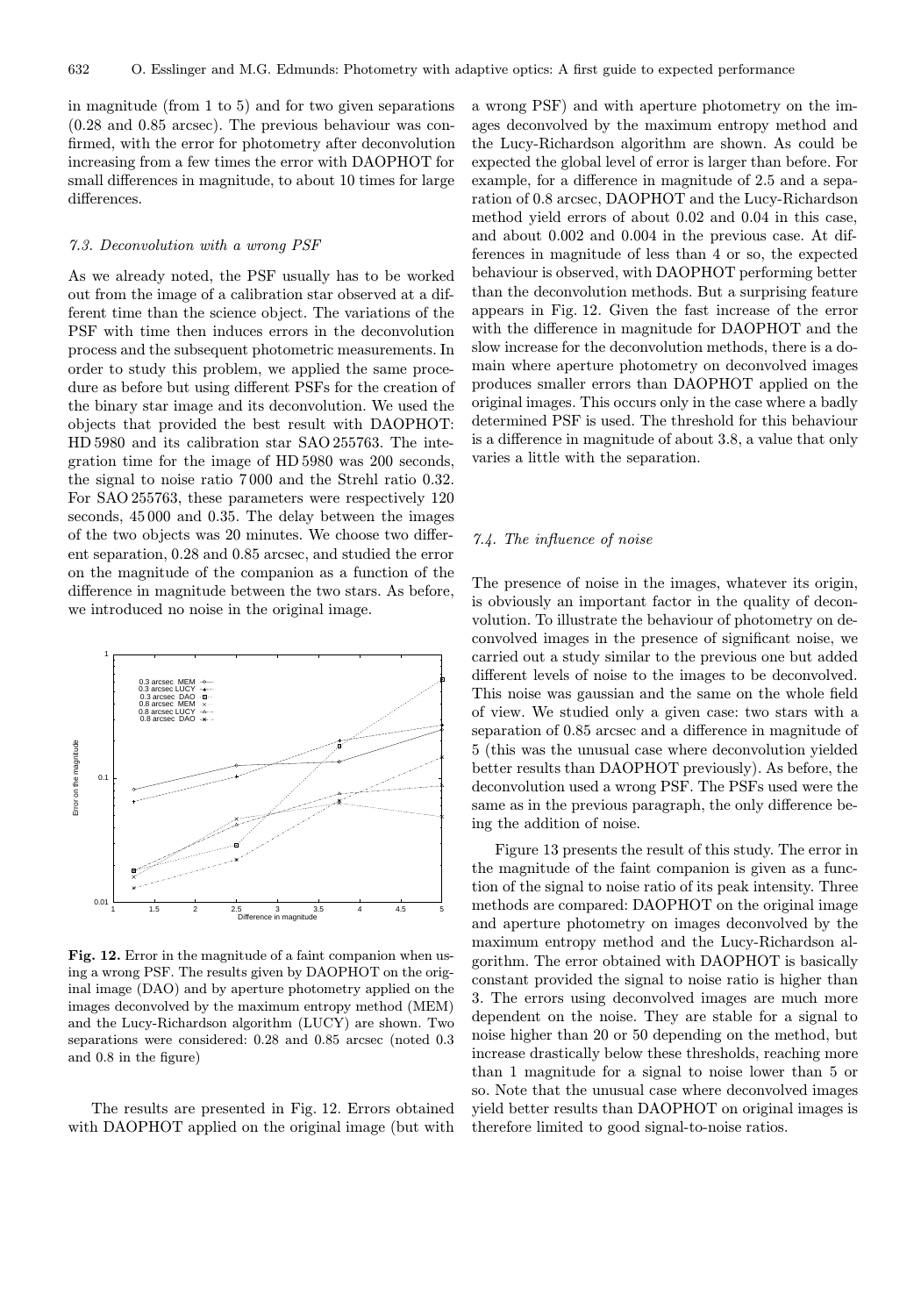in magnitude (from 1 to 5) and for two given separations (0.28 and 0.85 arcsec). The previous behaviour was confirmed, with the error for photometry after deconvolution increasing from a few times the error with DAOPHOT for small differences in magnitude, to about 10 times for large differences.

## 7.3. Deconvolution with a wrong PSF

As we already noted, the PSF usually has to be worked out from the image of a calibration star observed at a different time than the science object. The variations of the PSF with time then induces errors in the deconvolution process and the subsequent photometric measurements. In order to study this problem, we applied the same procedure as before but using different PSFs for the creation of the binary star image and its deconvolution. We used the objects that provided the best result with DAOPHOT: HD 5980 and its calibration star SAO 255763. The integration time for the image of HD 5980 was 200 seconds, the signal to noise ratio 7 000 and the Strehl ratio 0.32. For SAO 255763, these parameters were respectively 120 seconds, 45 000 and 0.35. The delay between the images of the two objects was 20 minutes. We choose two different separation, 0.28 and 0.85 arcsec, and studied the error on the magnitude of the companion as a function of the difference in magnitude between the two stars. As before, we introduced no noise in the original image.



Fig. 12. Error in the magnitude of a faint companion when using a wrong PSF. The results given by DAOPHOT on the original image (DAO) and by aperture photometry applied on the images deconvolved by the maximum entropy method (MEM) and the Lucy-Richardson algorithm (LUCY) are shown. Two separations were considered: 0.28 and 0.85 arcsec (noted 0.3 and 0.8 in the figure)

The results are presented in Fig. 12. Errors obtained with DAOPHOT applied on the original image (but with

a wrong PSF) and with aperture photometry on the images deconvolved by the maximum entropy method and the Lucy-Richardson algorithm are shown. As could be expected the global level of error is larger than before. For example, for a difference in magnitude of 2.5 and a separation of 0.8 arcsec, DAOPHOT and the Lucy-Richardson method yield errors of about 0.02 and 0.04 in this case, and about 0.002 and 0.004 in the previous case. At differences in magnitude of less than 4 or so, the expected behaviour is observed, with DAOPHOT performing better than the deconvolution methods. But a surprising feature appears in Fig. 12. Given the fast increase of the error with the difference in magnitude for DAOPHOT and the slow increase for the deconvolution methods, there is a domain where aperture photometry on deconvolved images produces smaller errors than DAOPHOT applied on the original images. This occurs only in the case where a badly determined PSF is used. The threshold for this behaviour is a difference in magnitude of about 3.8, a value that only varies a little with the separation.

## 7.4. The influence of noise

The presence of noise in the images, whatever its origin, is obviously an important factor in the quality of deconvolution. To illustrate the behaviour of photometry on deconvolved images in the presence of significant noise, we carried out a study similar to the previous one but added different levels of noise to the images to be deconvolved. This noise was gaussian and the same on the whole field of view. We studied only a given case: two stars with a separation of 0.85 arcsec and a difference in magnitude of 5 (this was the unusual case where deconvolution yielded better results than DAOPHOT previously). As before, the deconvolution used a wrong PSF. The PSFs used were the same as in the previous paragraph, the only difference being the addition of noise.

Figure 13 presents the result of this study. The error in the magnitude of the faint companion is given as a function of the signal to noise ratio of its peak intensity. Three methods are compared: DAOPHOT on the original image and aperture photometry on images deconvolved by the maximum entropy method and the Lucy-Richardson algorithm. The error obtained with DAOPHOT is basically constant provided the signal to noise ratio is higher than 3. The errors using deconvolved images are much more dependent on the noise. They are stable for a signal to noise higher than 20 or 50 depending on the method, but increase drastically below these thresholds, reaching more than 1 magnitude for a signal to noise lower than 5 or so. Note that the unusual case where deconvolved images yield better results than DAOPHOT on original images is therefore limited to good signal-to-noise ratios.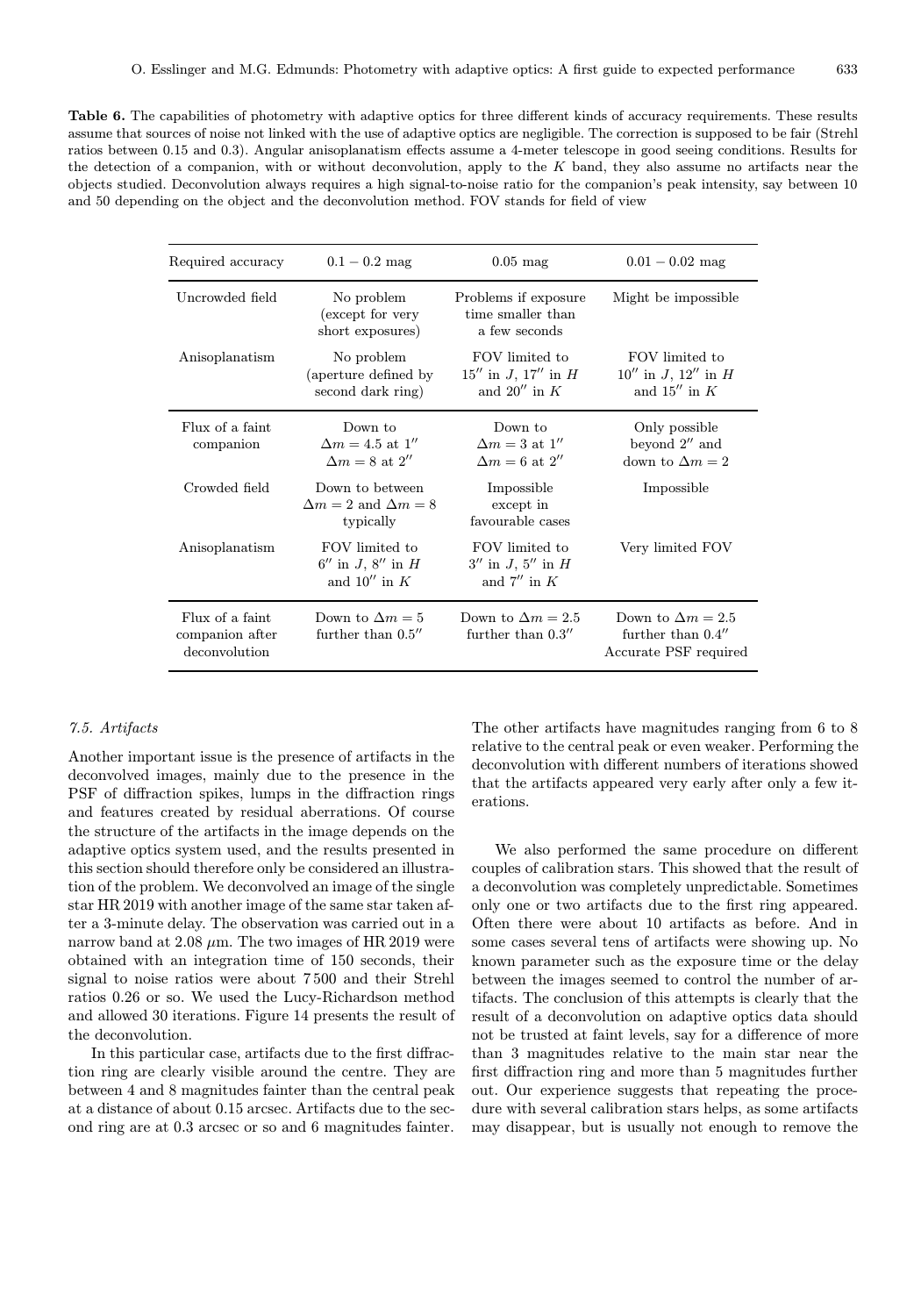Table 6. The capabilities of photometry with adaptive optics for three different kinds of accuracy requirements. These results assume that sources of noise not linked with the use of adaptive optics are negligible. The correction is supposed to be fair (Strehl ratios between 0.15 and 0.3). Angular anisoplanatism effects assume a 4-meter telescope in good seeing conditions. Results for the detection of a companion, with or without deconvolution, apply to the  $K$  band, they also assume no artifacts near the objects studied. Deconvolution always requires a high signal-to-noise ratio for the companion's peak intensity, say between 10 and 50 depending on the object and the deconvolution method. FOV stands for field of view

| Required accuracy                                   | $0.1 - 0.2$ mag                                                   | $0.05$ mag                                                      | $0.01 - 0.02$ mag                                                         |
|-----------------------------------------------------|-------------------------------------------------------------------|-----------------------------------------------------------------|---------------------------------------------------------------------------|
| Uncrowded field                                     | No problem<br>(except for very<br>short exposures)                | Problems if exposure<br>time smaller than<br>a few seconds      | Might be impossible.                                                      |
| Anisoplanatism                                      | No problem<br>(aperture defined by)<br>second dark ring)          | FOV limited to<br>$15''$ in J, $17''$ in H<br>and $20''$ in $K$ | FOV limited to<br>$10''$ in J, $12''$ in H<br>and $15''$ in $K$           |
| Flux of a faint<br>companion                        | Down to<br>$\Delta m = 4.5$ at 1"<br>$\Delta m = 8$ at 2"         | Down to<br>$\Delta m = 3$ at $1''$<br>$\Delta m = 6$ at 2''     | Only possible<br>beyond $2''$ and<br>down to $\Delta m = 2$               |
| Crowded field                                       | Down to between<br>$\Delta m = 2$ and $\Delta m = 8$<br>typically | Impossible<br>except in<br>favourable cases                     | Impossible                                                                |
| Anisoplanatism                                      | FOV limited to<br>$6''$ in J, $8''$ in H<br>and $10''$ in K       | FOV limited to<br>$3''$ in J, $5''$ in H<br>and $7''$ in K      | Very limited FOV                                                          |
| Flux of a faint<br>companion after<br>deconvolution | Down to $\Delta m = 5$<br>further than $0.5$ "                    | Down to $\Delta m = 2.5$<br>further than $0.3''$                | Down to $\Delta m = 2.5$<br>further than $0.4$ "<br>Accurate PSF required |

# 7.5. Artifacts

Another important issue is the presence of artifacts in the deconvolved images, mainly due to the presence in the PSF of diffraction spikes, lumps in the diffraction rings and features created by residual aberrations. Of course the structure of the artifacts in the image depends on the adaptive optics system used, and the results presented in this section should therefore only be considered an illustration of the problem. We deconvolved an image of the single star HR 2019 with another image of the same star taken after a 3-minute delay. The observation was carried out in a narrow band at 2.08  $\mu$ m. The two images of HR 2019 were obtained with an integration time of 150 seconds, their signal to noise ratios were about 7 500 and their Strehl ratios 0.26 or so. We used the Lucy-Richardson method and allowed 30 iterations. Figure 14 presents the result of the deconvolution.

In this particular case, artifacts due to the first diffraction ring are clearly visible around the centre. They are between 4 and 8 magnitudes fainter than the central peak at a distance of about 0.15 arcsec. Artifacts due to the second ring are at 0.3 arcsec or so and 6 magnitudes fainter.

The other artifacts have magnitudes ranging from 6 to 8 relative to the central peak or even weaker. Performing the deconvolution with different numbers of iterations showed that the artifacts appeared very early after only a few iterations.

We also performed the same procedure on different couples of calibration stars. This showed that the result of a deconvolution was completely unpredictable. Sometimes only one or two artifacts due to the first ring appeared. Often there were about 10 artifacts as before. And in some cases several tens of artifacts were showing up. No known parameter such as the exposure time or the delay between the images seemed to control the number of artifacts. The conclusion of this attempts is clearly that the result of a deconvolution on adaptive optics data should not be trusted at faint levels, say for a difference of more than 3 magnitudes relative to the main star near the first diffraction ring and more than 5 magnitudes further out. Our experience suggests that repeating the procedure with several calibration stars helps, as some artifacts may disappear, but is usually not enough to remove the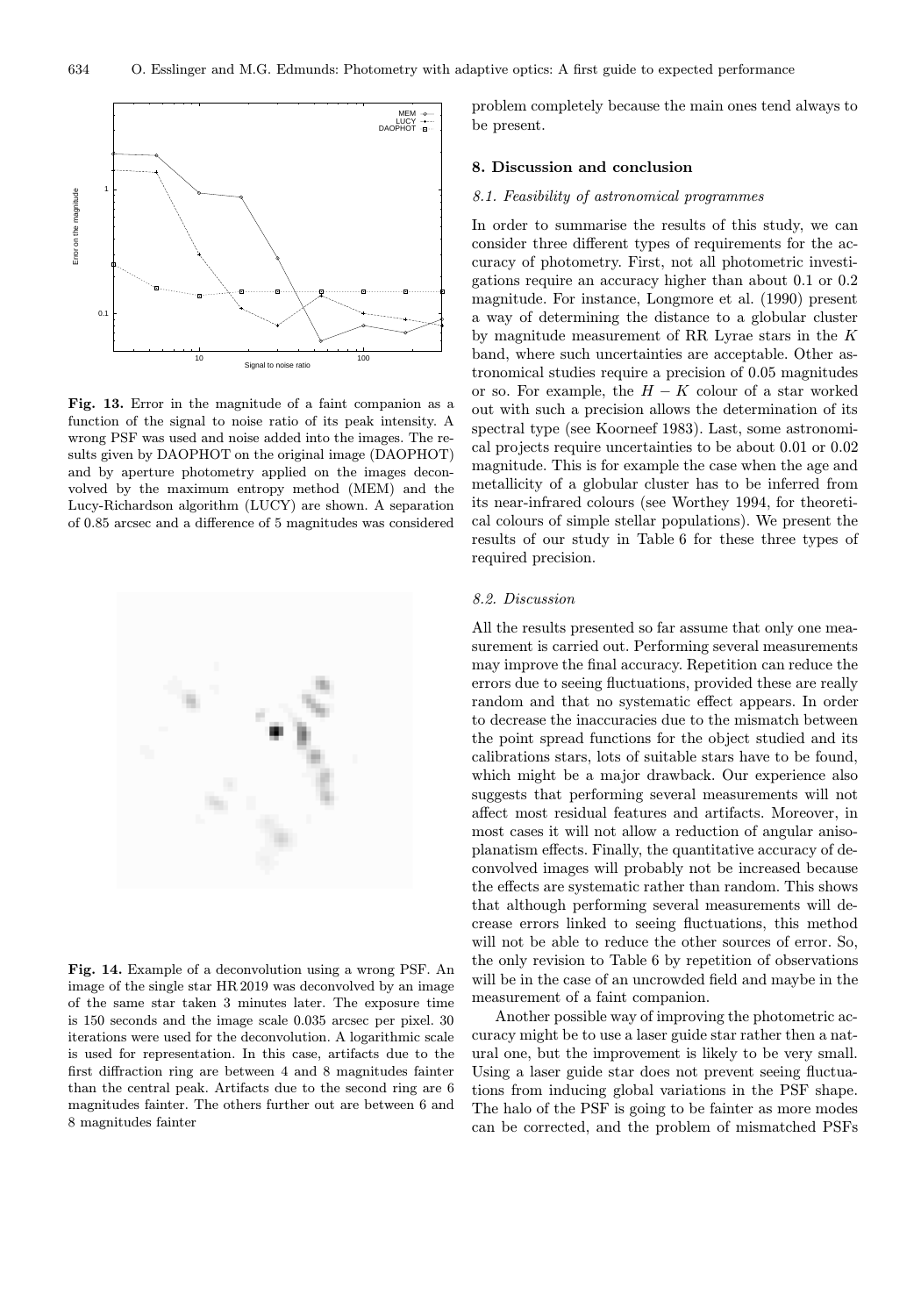

Fig. 13. Error in the magnitude of a faint companion as a function of the signal to noise ratio of its peak intensity. A wrong PSF was used and noise added into the images. The results given by DAOPHOT on the original image (DAOPHOT) and by aperture photometry applied on the images deconvolved by the maximum entropy method (MEM) and the Lucy-Richardson algorithm (LUCY) are shown. A separation of 0.85 arcsec and a difference of 5 magnitudes was considered



Fig. 14. Example of a deconvolution using a wrong PSF. An image of the single star HR 2019 was deconvolved by an image of the same star taken 3 minutes later. The exposure time is 150 seconds and the image scale 0.035 arcsec per pixel. 30 iterations were used for the deconvolution. A logarithmic scale is used for representation. In this case, artifacts due to the first diffraction ring are between 4 and 8 magnitudes fainter than the central peak. Artifacts due to the second ring are 6 magnitudes fainter. The others further out are between 6 and 8 magnitudes fainter

problem completely because the main ones tend always to be present.

# 8. Discussion and conclusion

#### 8.1. Feasibility of astronomical programmes

In order to summarise the results of this study, we can consider three different types of requirements for the accuracy of photometry. First, not all photometric investigations require an accuracy higher than about 0.1 or 0.2 magnitude. For instance, Longmore et al. (1990) present a way of determining the distance to a globular cluster by magnitude measurement of RR Lyrae stars in the K band, where such uncertainties are acceptable. Other astronomical studies require a precision of 0.05 magnitudes or so. For example, the  $H - K$  colour of a star worked out with such a precision allows the determination of its spectral type (see Koorneef 1983). Last, some astronomical projects require uncertainties to be about 0.01 or 0.02 magnitude. This is for example the case when the age and metallicity of a globular cluster has to be inferred from its near-infrared colours (see Worthey 1994, for theoretical colours of simple stellar populations). We present the results of our study in Table 6 for these three types of required precision.

# 8.2. Discussion

All the results presented so far assume that only one measurement is carried out. Performing several measurements may improve the final accuracy. Repetition can reduce the errors due to seeing fluctuations, provided these are really random and that no systematic effect appears. In order to decrease the inaccuracies due to the mismatch between the point spread functions for the object studied and its calibrations stars, lots of suitable stars have to be found, which might be a major drawback. Our experience also suggests that performing several measurements will not affect most residual features and artifacts. Moreover, in most cases it will not allow a reduction of angular anisoplanatism effects. Finally, the quantitative accuracy of deconvolved images will probably not be increased because the effects are systematic rather than random. This shows that although performing several measurements will decrease errors linked to seeing fluctuations, this method will not be able to reduce the other sources of error. So, the only revision to Table 6 by repetition of observations will be in the case of an uncrowded field and maybe in the measurement of a faint companion.

Another possible way of improving the photometric accuracy might be to use a laser guide star rather then a natural one, but the improvement is likely to be very small. Using a laser guide star does not prevent seeing fluctuations from inducing global variations in the PSF shape. The halo of the PSF is going to be fainter as more modes can be corrected, and the problem of mismatched PSFs